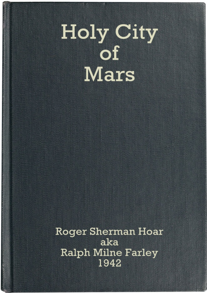# **Holy City** of Mars

**Roger Sherman Hoar** aka **Ralph Milne Farley** 1942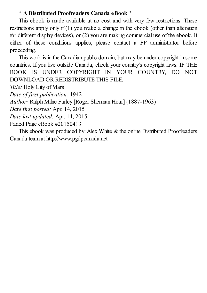#### **\* A Distributed Proofreaders Canada eBook \***

This ebook is made available at no cost and with very few restrictions. These restrictions apply only if (1) you make a change in the ebook (other than alteration for different display devices), or (2) you are making commercial use of the ebook. If either of these conditions applies, please contact a FP administrator before proceeding.

This work is in the Canadian public domain, but may be under copyright in some countries. If you live outside Canada, check your country's copyright laws. IF THE BOOK IS UNDER COPYRIGHT IN YOUR COUNTRY, DO NOT DOWNLOAD OR REDISTRIBUTE THIS FILE.

*Title:* Holy City of Mars

*Date of first publication:* 1942

*Author:* Ralph Milne Farley [Roger Sherman Hoar] (1887-1963)

*Date first posted:* Apr. 14, 2015

*Date last updated:* Apr. 14, 2015

Faded Page eBook #20150413

This ebook was produced by: Alex White & the online Distributed Proofreaders Canada team at http://www.pgdpcanada.net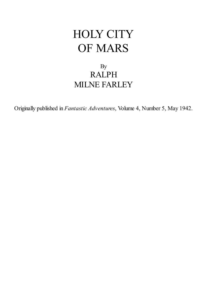## HOLY CITY OF MARS

#### By RALPH MILNE FARLEY

Originally published in *Fantastic Adventures*, Volume 4, Number 5, May 1942.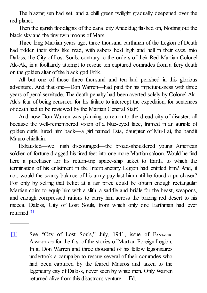The blazing sun had set, and a chill green twilight gradually deepened over the red planet.

Then the garish floodlights of the canal city Andeldug flashed on, blotting out the black sky and the tiny twin moons of Mars.

Three long Martian years ago, three thousand earthmen of the Legion of Death had ridden their sliths like mad, with sabers held high and hell in their eyes, into Daloss, the City of Lost Souls, contrary to the orders of their Red Martian Colonel Ak-Ak, in a foolhardy attempt to rescue ten captured comrades from a fiery death on the golden altar of the black god Erlik.

All but one of those three thousand and ten had perished in this glorious adventure. And that one—Don Warren—had paid for his impetuousness with three years of penal servitude. The death penalty had been averted solely by Colonel Ak-Ak's fear of being censured for his failure to intercept the expedition; for sentences of death had to be reviewed by the Martian General Staff.

<span id="page-3-1"></span>And [no](#page-3-0)w Don Warren was planning to return to the dread city of disaster; all because the well-remembered vision of a blue-eyed face, framed in an auriole of golden curls, lured him back—a girl named Esta, daughter of Mu-Lai, the bandit [Mau](#page-3-1)ro chieftain.

<span id="page-3-0"></span>Exhausted—well nigh discouraged—the broad-shouldered young American soldier-of-fortune dragged his tired feet into one more Martian saloon. Would he find here a purchaser for his return-trip space-ship ticket to Earth, to which the termination of his enlistment in the Interplanetary Legion had entitled him? And, if not, would the scanty balance of his army pay last him until he found a purchaser? For only by selling that ticket at a fair price could he obtain enough rectangular Martian coins to equip him with a slith, a saddle and bridle for the beast, weapons, and enough compressed rations to carry him across the blazing red desert to his mecca, Daloss, City of Lost Souls, from which only one Earthman had ever returned. [1]

[1] See "City of Lost Souls," July, 1941, issue of FANTASTIC ADVENTURES for the first of the stories of Martian Foreign Legion. In it, Don Warren and three thousand of his fellow legionnaires undertook a campaign to rescue several of their comrades who had been captured by the feared Mauros and taken to the legendary city of Daloss, never seen by white men. Only Warren returned alive from this disastrous venture.—Ed.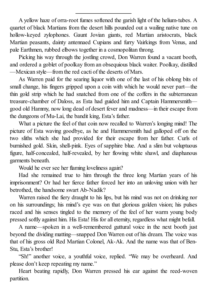A yellow haze of orra-root fumes softened the garish light of the helium-tubes. A quartet of black Martians from the desert hills pounded out a wailing native tune on hollow-keyed zylophones. Gaunt Jovian giants, red Martian aristocrats, black Martian peasants, dainty antennaed Cupians and furry Vairkings from Venus, and pale Earthmen, rubbed elbows together in a cosmopolitan throng.

Picking his way through the jostling crowd, Don Warren found a vacant booth, and ordered a goblet of poolkay from an obsequious black waiter. Poolkay, distilled —Mexican style—from the red cacti of the deserts of Mars.

As Warren paid for the searing liquor with one of the last of his oblong bits of small change, his fingers gripped upon a coin with which he would never part—the thin gold strip which he had snatched from one of the coffers in the subterranean treasure-chamber of Daloss, as Esta had guided him and Captain Hammersmith good old Hammy, now long dead of desert fever and madness—in their escape from the dungeons of Mu-Lai, the bandit king, Esta's father.

What a picture the feel of that coin now recalled to Warren's longing mind! The picture of Esta waving goodbye, as he and Hammersmith had galloped off on the two sliths which she had provided for their escape from her father. Curls of burnished gold. Skin, shell-pink. Eyes of sapphire blue. And a slim but voluptuous figure, half-concealed, half-revealed, by her flowing white shawl, and diaphanous garments beneath.

Would he ever see her flaming loveliness again?

Had she remained true to him through the three long Martian years of his imprisonment? Or had her fierce father forced her into an unloving union with her betrothed, the handsome swart Ab-Nadik?

Warren raised the fiery draught to his lips, but his mind was not on drinking nor on his surroundings; his mind's eye was on that glorious golden vision; his pulses raced and his senses tingled to the memory of the feel of her warm young body pressed softly against him. His Esta! His for all eternity, regardless what might befall.

A name—spoken in a well-remembered guttural voice in the next booth just beyond the dividing matting—snapped Don Warren out of his dream. The voice was that of his gross old Red Martian Colonel, Ak-Ak. And the name was that of Ben-Stu, Esta's brother!

"Sh!" another voice, a youthful voice, replied. "We may be overheard. And please don't keep repeating my name."

Heart beating rapidly, Don Warren pressed his ear against the reed-woven partition.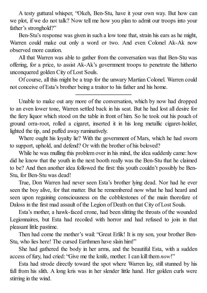A testy guttural whisper, "Okeh, Ben-Stu, have it your own way. But how can we plot, if we do not talk? Now tell me how you plan to admit our troops into your father's stronghold?"

Ben-Stu's response was given in such a low tone that, strain his ears as he might, Warren could make out only a word or two. And even Colonel Ak-Ak now observed more caution.

All that Warren was able to gather from the conversation was that Ben-Stu was offering, for a price, to assist Ak-Ak's government troops to penetrate the hitherto unconquered golden City of Lost Souls.

Of course, all this might be a trap for the unwary Martian Colonel. Warren could not conceive of Esta's brother being a traitor to his father and his home.

Unable to make out any more of the conversation, which by now had dropped to an even lower tone, Warren settled back in his seat. But he had lost all desire for the fiery liquor which stood on the table in front of him. So he took out his pouch of ground orra-root, rolled a cigaret, inserted it in his long metallic cigaret-holder, lighted the tip, and puffed away ruminatively.

Where ought his loyalty lie? With the government of Mars, which he had sworn to support, uphold, and defend? Or with the brother of his beloved?

While he was mulling this problem over in his mind, the idea suddenly came: how did he know that the youth in the next booth really was the Ben-Stu that he claimed to be? And then another idea followed the first: this youth couldn't possibly be Ben-Stu, for Ben-Stu was dead!

True, Don Warren had never seen Esta's brother lying dead. Nor had he ever seen the boy alive, for that matter. But he remembered now what he had heard and seen upon regaining consciousness on the cobblestones of the main thorofare of Daloss in the first mad assault of the Legion of Death on that City of Lost Souls.

Esta's mother, a hawk-faced crone, had been slitting the throats of the wounded Legionnaires, but Esta had recoiled with horror and had refused to join in that pleasant little pastime.

Then had come the mother's wail: "Great Erlik! It is my son, your brother Ben-Stu, who lies here! The cursed Earthmen have slain him!"

She had gathered the body in her arms, and the beautiful Esta, with a sudden access of fury, had cried: "Give me the knife, mother. I can kill them *now*!"

Esta had strode directly toward the spot where Warren lay, still stunned by his fall from his slith. A long kris was in her slender little hand. Her golden curls were stirring in the wind.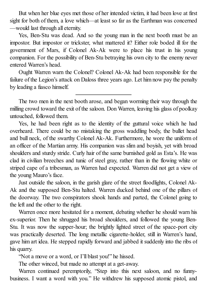But when her blue eyes met those of her intended victim, it had been love at first sight for both of them, a love which—at least so far as the Earthman was concerned —would last through all eternity.

Yes, Ben-Stu was dead. And so the young man in the next booth must be an impostor. But impostor or trickster, what mattered it? Either role boded ill for the government of Mars, if Colonel Ak-Ak were to place his trust in his young companion. For the possibility of Ben-Stu betraying his own city to the enemy never entered Warren's head.

Ought Warren warn the Colonel? Colonel Ak-Ak had been responsible for the failure of the Legion's attack on Daloss three years ago. Let him now pay the penalty by leading a fiasco himself.

The two men in the next booth arose, and began worming their way through the milling crowd toward the exit of the saloon. Don Warren, leaving his glass of poolkay untouched, followed them.

Yes, he had been right as to the identity of the guttural voice which he had overheard. There could be no mistaking the gross waddling body, the bullet head and bull neck, of the swarthy Colonel Ak-Ak. Furthermore, he wore the uniform of an officer of the Martian army. His companion was slim and boyish, yet with broad shoulders and sturdy stride. Curly hair of the same burnished gold as Esta's. He was clad in civilian breeches and tunic of steel gray, rather than in the flowing white or striped cape of a tribesman, as Warren had expected. Warren did not get a view of the young Mauro's face.

Just outside the saloon, in the garish glare of the street floodlights, Colonel Ak-Ak and the supposed Ben-Stu halted. Warren ducked behind one of the pillars of the doorway. The two conspirators shook hands and parted, the Colonel going to the left and the other to the right.

Warren once more hesitated for a moment, debating whether he should warn his ex-superior. Then he shrugged his broad shoulders, and followed the young Ben-Stu. It was now the supper-hour; the brightly lighted street of the space-port city was practically deserted. The long metallic cigarette-holder, still in Warren's hand, gave him art idea. He stepped rapidly forward and jabbed it suddenly into the ribs of his quarry.

"Not a move or a word, or I'll blast you!" he hissed.

The other winced, but made no attempt at a get-away.

Warren continued peremptorily, "Step into this next saloon, and no funnybusiness. I want a word with you." He withdrew his supposed atomic pistol, and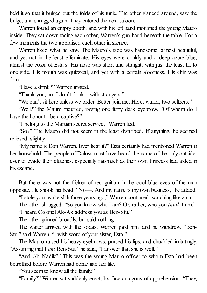held it so that it bulged out the folds of his tunic. The other glanced around, saw the bulge, and shrugged again. They entered the next saloon.

Warren found an empty booth, and with his left hand motioned the young Mauro inside. They sat down facing each other, Warren's gun-hand beneath the table. For a few moments the two appraised each other in silence.

Warren liked what he saw. The Mauro's face was handsome, almost beautiful, and yet not in the least effeminate. His eyes were crinkly and a deep azure blue, almost the color of Esta's. His nose was short and straight, with just the least tilt to one side. His mouth was quizzical, and yet with a certain aloofness. His chin was firm.

"Have a drink?" Warren invited.

"Thank you, no. I don't drink—with strangers."

"We can't sit here unless we order. Better join me. Here, waiter, two seltzers."

"Well?" the Mauro inquired, raising one furry dark eyebrow. "Of whom do I have the honor to be a captive?"

"I belong to the Martian secret service," Warren lied.

"So?" The Mauro did not seem in the least disturbed. If anything, he seemed relieved, slightly.

"My name is Don Warren. Ever hear it?" Esta certainly had mentioned Warren in her household. The people of Daloss must have heard the name of the only outsider ever to evade their clutches, especially inasmuch as their own Princess had aided in his escape.

But there was not the flicker of recognition in the cool blue eyes of the man opposite. He shook his head. "No—. And my name is my own business," he added.

"I stole your white slith three years ago," Warren continued, watching like a cat.

The other shrugged. "So you know who I am? Or, rather, who you *think* I am." "I heard Colonel Ak-Ak address you as Ben-Stu."

The other grinned broadly, but said nothing.

The waiter arrived with the sodas. Warren paid him, and he withdrew. "Ben-Stu," said Warren. "I wish word of your sister, Esta."

The Mauro raised his heavy eyebrows, pursed his lips, and chuckled irritatingly. "Assuming that I *am* Ben-Stu," he said, "I answer that she is well."

"And Ab-Nadik?" This was the young Mauro officer to whom Esta had been betrothed before Warren had come into her life.

"You seem to know all the family."

"Family?" Warren sat suddenly erect, his face an agony of apprehension. "They,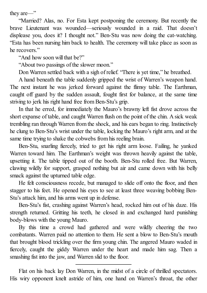they are—"

"Married? Alas, no. For Esta kept postponing the ceremony. But recently the brave Lieutenant was wounded—seriously wounded in a raid. That doesn't displease you, does it? I thought not." Ben-Stu was now doing the cat-watching. "Esta has been nursing him back to health. The ceremony will take place as soon as he recovers."

"And how soon will that be?"

"About two passings of the slower moon."

Don Warren settled back with a sigh of relief. "There is yet time," he breathed.

A hand beneath the table suddenly gripped the wrist of Warren's weapon hand. The next instant he was jerked forward against the flimsy table. The Earthman, caught off guard by the sudden assault, fought first for balance, at the same time striving to jerk his right hand free from Ben-Stu's grip.

In that he erred, for immediately the Mauro's brawny left fist drove across the short expanse of table, and caught Warren flush on the point of the chin. A sick weak trembling ran through Warren from the shock, and his ears began to ring. Instinctively he clung to Ben-Stu's wrist under the table, locking the Mauro's right arm, and at the same time trying to shake the cobwebs from his reeling brain.

Ben-Stu, snarling fiercely, tried to get his right arm loose. Failing, he yanked Warren toward him. The Earthman's weight was thrown heavily against the table, upsetting it. The table tipped out of the booth. Ben-Stu rolled free. But Warren, clawing wildly for support, grasped nothing but air and came down with his belly smack against the upturned table edge.

He felt consciousness recede, but managed to slide off onto the floor, and then stagger to his feet. He opened his eyes to see at least three weaving bobbing Ben-Stu's attack him, and his arms went up in defense.

Ben-Stu's fist, crashing against Warren's head, rocked him out of his daze. His strength returned. Gritting his teeth, he closed in and exchanged hard punishing body-blows with the young Mauro.

By this time a crowd had gathered and were wildly cheering the two combatants. Warren paid no attention to them. He sent a blow to Ben-Stu's mouth that brought blood trickling over the firm young chin. The angered Mauro waded in fiercely, caught the giddy Warren under the heart and made him sag. Then a smashing fist into the jaw, and Warren slid to the floor.

Flat on his back lay Don Warren, in the midst of a circle of thrilled spectators. His wiry opponent knelt astride of him, one hand on Warren's throat, the other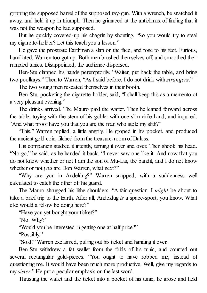gripping the supposed barrel of the supposed ray-gun. With a wrench, he snatched it away, and held it up in triumph. Then he grimaced at the anticlimax of finding that it was not the weapon he had supposed.

But he quickly covered-up his chagrin by shouting, "So you would try to steal my cigarette-holder? Let this teach you a lesson."

He gave the prostrate Earthman a slap on the face, and rose to his feet. Furious, humiliated, Warren too got up. Both men brushed themselves off, and smoothed their rumpled tunics. Disappointed, the audience dispersed.

Ben-Stu clapped his hands peremptorily. "Waiter, put back the table, and bring two poolkays." Then to Warren, "As I said before, I do not drink with *strangers*."

The two young men reseated themselves in their booth.

Ben-Stu, pocketing the cigarette-holder, said, "I shall keep this as a memento of a very pleasant evening."

The drinks arrived. The Mauro paid the waiter. Then he leaned forward across the table, toying with the stem of his goblet with one slim virile hand, and inquired. "And what proof have you that you are the man who stole my slith?"

"This," Warren replied, a little angrily. He groped in his pocket, and produced the ancient gold coin, filched from the treasure-room of Daloss.

His companion studied it intently, turning it over and over. Then shook his head. "No go," he said, as he handed it back. "I never saw one like it. And now that you do not know whether or not I am the son of Mu-Lai, the bandit, and I do not know whether or not *you* are Don Warren, what next?"

"Why are you in Andeldug?" Warren snapped, with a suddenness well calculated to catch the other off his guard.

The Mauro shrugged his lithe shoulders. "A fair question. I *might* be about to take a brief trip to the Earth. After all, Andeldug *is* a space-sport, you know. What else would a fellow be doing here?"

"Have you yet bought your ticket?"

"No. Why?"

"Would you be interested in getting one at half price?"

"Possibly."

"Sold!" Warren exclaimed, pulling out his ticket and handing it over.

Ben-Stu withdrew a fat wallet from the folds of his tunic, and counted out several rectangular gold-pieces. "You ought to have robbed me, instead of questioning me. It would have been much more productive. Well, give my regards to my *sister*." He put a peculiar emphasis on the last word.

Thrusting the wallet and the ticket into a pocket of his tunic, he arose and held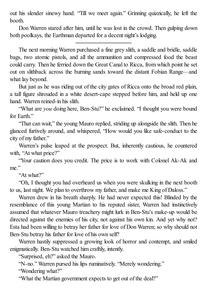out his slender sinewy hand. "Till we meet again." Grinning quizzically, he left the booth.

Don Warren stared after him, until he was lost in the crowd. Then gulping down both poolkays, the Earthman departed for a decent night's lodging.

The next morning Warren purchased a fine grey slith, a saddle and bridle, saddle bags, two atomic pistols, and all the ammunition and compressed food the beast could carry. Then he ferried down the Great Canal to Ricca, from which point he set out on slithback across the burning sands toward the distant Fobian Range—and what lay beyond.

But just as he was riding out of the city gates of Ricca onto the broad red plain, a tall figure shrouded in a white desert-cape stepped before him, and held up one hand. Warren reined-in his slith.

"What are *you* doing here, Ben-Stu?" he exclaimed. "I thought you were bound for Earth"

"That can wait," the young Mauro replied, striding up alongside the slith. Then he glanced furtively around, and whispered, "How would you like safe-conduct to the city of my father."

Warren's pulse leaped at the prospect. But, inherently cautious, he countered with, "At what price?"

"Your caution does you credit. The price is to work with Colonel Ak-Ak and me."

"At what?"

"Oh, I thought you had overheard us when you were skulking in the next booth to us, last night. We plan to overthrow my father, and make me King of Daloss."

Warren drew in his breath sharply. He had never expected this! Blinded by the resemblance of this young Martian to his reputed sister, Warren had instinctively assumed that whatever Mauro treachery might lurk in Ben-Stu's make-up would be directed against the enemies of his city, not against his own kin. And yet why not? Esta had been willing to betray her father for love of Don Warren; so why should not Ben-Stu betray his father for love of his own self?

Warren hastily suppressed a growing look of horror and contempt, and smiled enigmatically. Ben-Stu watched him craftily, intently.

"Surprised, eh?" asked the Mauro.

"N-no." Warren pursed his lips ruminatively. "Merely wondering."

"Wondering what?"

"What the Martian government expects to get out of the deal?"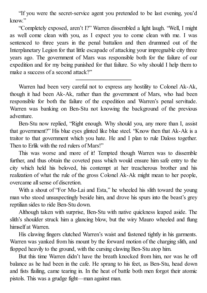"If you were the secret-service agent you pretended to be last evening, you'd know"

"Completely exposed, aren't I?" Warren dissembled a light laugh. "Well, I might as well come clean with you, as I expect you to come clean with me. I was sentenced to three years in the penal battalion and then drummed out of the Interplanetary Legion for that little escapade of attacking your impregnable city three years ago. The government of Mars was responsible both for the failure of our expedition and for my being punished for that failure. So why should I help them to make a success of a second attack?"

Warren had been very careful not to express any hostility to Colonel Ak-Ak, though it had been Ak-Ak, rather than the government of Mars, who had been responsible for both the failure of the expedition and Warren's penal servitude. Warren was banking on Ben-Stu not knowing the background of the previous adventure.

Ben-Stu now replied, "Right enough. Why should you, any more than I, assist that government?" His blue eyes glinted like blue steel. "Know then that Ak-Ak is a traitor to that government which you hate. He and I plan to rule Daloss together. Then to Erlik with the red rulers of Mars!"

This was worse and more of it! Tempted though Warren was to dissemble further, and thus obtain the coveted pass which would ensure him safe entry to the city which held his beloved, his contempt at her treacherous brother and his realization of what the rule of the gross Colonel Ak-Ak might mean to her people, overcame all sense of discretion.

With a shout of "For Mu-Lai and Esta," he wheeled his slith toward the young man who stood unsuspectingly beside him, and drove his spurs into the beast's grey reptilian sides to ride Ben-Stu down.

Although taken with surprise, Ben-Stu with native quickness leaped aside. The slith's shoulder struck him a glancing blow, but the wiry Mauro wheeled and flung himself at Warren.

His clawing fingers clutched Warren's waist and fastened tightly in his garments. Warren was yanked from his mount by the forward motion of the charging slith, and flopped heavily to the ground, with the cursing clawing Ben-Stu atop him.

But this time Warren didn't have the breath knocked from him, nor was he off balance as he had been in the cafe. He sprang to his feet, as Ben-Stu, head down and fists flailing, came tearing in. In the heat of battle both men forgot their atomic pistols. This was a grudge fight—man against man.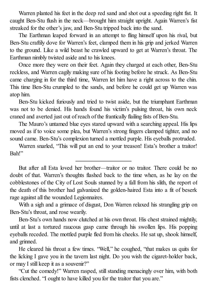Warren planted his feet in the deep red sand and shot out a speeding right fist. It caught Ben-Stu flush in the neck—brought him straight upright. Again Warren's fist streaked for the other's jaw, and Ben-Stu tripped back into the sand.

The Earthman leaped forward in an attempt to fling himself upon his rival, but Ben-Stu craftily dove for Warren's feet, clamped them in his grip and jerked Warren to the ground. Like a wild beast he crawled upward to get at Warren's throat. The Earthman nimbly twisted aside and to his knees.

Once more they were on their feet. Again they charged at each other, Ben-Stu reckless, and Warren cagily making sure of his footing before he struck. As Ben-Stu came charging in for the third time, Warren let him have a right across to the chin. This time Ben-Stu crumpled to the sands, and before he could get up Warren was atop him.

Ben-Stu kicked furiously and tried to twist aside, but the triumphant Earthman was not to be denied. His hands found his victim's pulsing throat, his own neck craned and averted just out of reach of the frantically flailing fists of Ben-Stu.

The Mauro's untamed blue eyes stared upward with a searching appeal. His lips moved as if to voice some plea, but Warren's strong fingers clamped tighter, and no sound came. Ben-Stu's complexion turned a mottled purple. His eyeballs protruded.

Warren snarled, "This will put an end to your treason! Esta's brother a traitor! Bah!"

But after all Esta loved her brother—traitor or no traitor. There could be no doubt of that. Warren's thoughts flashed back to the time when, as he lay on the cobblestones of the City of Lost Souls stunned by a fall from his slith, the report of the death of this brother had galvanized the golden-haired Esta into a fit of beserk rage against all the wounded Legionnaires.

With a sigh and a grimace of disgust, Don Warren relaxed his strangling grip on Ben-Stu's throat, and rose wearily.

Ben-Stu's own hands now clutched at his own throat. His chest strained mightily, until at last a tortured raucous gasp came through his swollen lips. His popping eyeballs receded. The mottled purple fled from his cheeks. He sat up, shook himself, and grinned.

He cleared his throat a few times. "Well," he coughed, "that makes us quits for the licking I gave you in the tavern last night. Do you wish the cigaret-holder back, or may I still keep it as a souvenir?"

"Cut the comedy!" Warren rasped, still standing menacingly over him, with both fists clenched. "I ought to have killed you for the traitor that you are."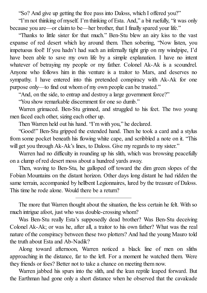"So? And give up getting the free pass into Daloss, which I offered you?"

"I'm not thinking of myself. I'm thinking of Esta. And," a bit ruefully, "it was only because you are—or claim to be—her brother, that I finally spared your life."

"Thanks to little sister for that much." Ben-Stu blew an airy kiss to the vast expanse of red desert which lay around them. Then sobering, "Now listen, you impetuous fool! If you hadn't had such an infernally tight grip on my windpipe, I'd have been able to save my own life by a simple explanation. I have no intent whatever of betraying my people or my father. Colonel Ak-Ak is a scoundrel. Anyone who follows him in this venture is a traitor to Mars, and deserves no sympathy. I have entered into this pretended conspiracy with Ak-Ak for one purpose only—to find out whom of my own people can be trusted."

"And, on the side, to entrap and destroy a large government force?"

"You show remarkable discernment for one so dumb."

Warren grimaced. Ben-Stu grinned, and struggled to his feet. The two young men faced each other, sizing each other up.

Then Warren held out his hand. "I'm with you," he declared.

"Good!" Ben-Stu gripped the extended hand. Then he took a card and a stylus from some pocket beneath his flowing white cape, and scribbled a note on it. "This will get you through Ak-Ak's lines, to Daloss. Give my regards to my sister."

Warren had no difficulty in rounding up his slith, which was browsing peacefully on a clump of red desert moss about a hundred yards away.

Then, waving to Ben-Stu, he galloped off toward the dim green slopes of the Fobian Mountains on the distant horizon. Other days long distant he had ridden the same terrain, accompanied by hellbent Legionnaires, lured by the treasure of Daloss. This time he rode alone. Would there be a return?

The more that Warren thought about the situation, the less certain he felt. With so much intrigue afoot, just who was double-crossing whom?

Was Ben-Stu really Esta's supposedly dead brother? Was Ben-Stu deceiving Colonel Ak-Ak; or was he, after all, a traitor to his own father? What was the real nature of the conspiracy between these two plotters? And had the young Mauro told the truth about Esta and Ab-Nadik?

Along toward afternoon, Warren noticed a black line of men on sliths approaching in the distance, far to the left. For a moment he watched them. Were they friends or foes? Better not to take a chance on meeting them now.

Warren jabbed his spurs into the slith, and the lean reptile leaped forward. But the Earthman had gone only a short distance when he observed that the cavalcade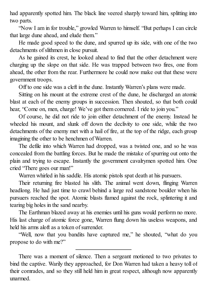had apparently spotted him. The black line veered sharply toward him, splitting into two parts.

"Now I am in for trouble," growled Warren to himself. "But perhaps I can circle that large dune ahead, and elude them."

He made good speed to the dune, and spurred up its side, with one of the two detachments of slithmen in close pursuit.

As he gained its crest, he looked ahead to find that the other detachment were charging up the slope on that side. He was trapped between two fires, one from ahead, the other from the rear. Furthermore he could now make out that these were government troops.

Off to one side was a cleft in the dune. Instantly Warren's plans were made.

Sitting on his mount at the extreme crest of the dune, he discharged an atomic blast at each of the enemy groups in succession. Then shouted, so that both could hear, "Come on, men, charge! We've got them cornered. I ride to join you."

Of course, he did not ride to join either detachment of the enemy. Instead he wheeled his mount, and slunk off down the declivity to one side, while the two detachments of the enemy met with a hail of fire, at the top of the ridge, each group imagining the other to be henchmen of Warren.

The defile into which Warren had dropped, was a twisted one, and so he was concealed from the battling forces. But he made the mistake of spurring out onto the plain and trying to escape. Instantly the government cavalrymen spotted him. One cried "There goes our man!"

Warren whirled in his saddle. His atomic pistols spat death at his pursuers.

Their returning fire blasted his slith. The animal went down, flinging Warren headlong. He had just time to crawl behind a large red sandstone boulder when his pursuers reached the spot. Atomic blasts flamed against the rock, splintering it and tearing big holes in the sand nearby.

The Earthman blazed away at his enemies until his guns would perform no more. His last charge of atomic force gone, Warren flung down his useless weapons, and held his arms aloft as a token of surrender.

"Well, now that you bandits have captured me," he shouted, "what do you propose to do with me?"

There was a moment of silence. Then a sergeant motioned to two privates to bind the captive. Warily they approached, for Don Warren had taken a heavy toll of their comrades, and so they still held him in great respect, although now apparently unarmed.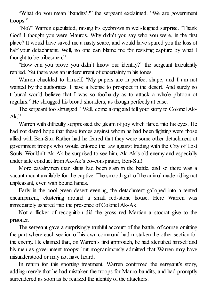"What do you mean 'bandits'?" the sergeant exclaimed. "We are government troops."

"No?" Warren ejaculated, raising his eyebrows in well-feigned surprise. "Thank God! I thought you were Mauros. Why didn't you say who you were, in the first place? It would have saved me a nasty scare, and would have spared you the loss of half your detachment. Well, no one can blame me for resisting capture by what I thought to be tribesmen."

"How can you prove you didn't know our identity?" the sergeant truculently replied. Yet there was an undercurrent of uncertainty in his tones.

Warren chuckled to himself. "My papers are in perfect shape, and I am not wanted by the authorities. I have a license to prospect in the desert. And surely no tribunal would believe that I was so foolhardy as to attack a whole platoon of regulars." He shrugged his broad shoulders, as though perfectly at ease.

The sergeant too shrugged. "Well, come along and tell your story to Colonel Ak- $Ak$ "

Warren with difficulty suppressed the gleam of joy which flared into his eyes. He had not dared hope that these forces against whom he had been fighting were those allied with Ben-Stu. Rather had he feared that they were some other detachment of government troops who would enforce the law against trading with the City of Lost Souls. Wouldn't Ak-Ak be surprised to see him, Ak-Ak's old enemy and especially under safe conduct from Ak-Ak's co-conspirator, Ben-Stu!

More cavalrymen than sliths had been slain in the battle, and so there was a vacant mount available for the captive. The smooth gait of the animal made riding not unpleasant, even with bound hands.

Early in the cool green desert evening, the detachment galloped into a tented encampment, clustering around a small red-stone house. Here Warren was immediately ushered into the presence of Colonel Ak-Ak.

Not a flicker of recognition did the gross red Martian aristocrat give to the prisoner.

The sergeant gave a surprisingly truthful account of the battle, of course omitting the part where each section of his own command had mistaken the other section for the enemy. He claimed that, on Warren's first approach, he had identified himself and his men as government troops; but magnanimously admitted that Warren may have misunderstood or may not have heard.

In return for this sporting treatment, Warren confirmed the sergeant's story, adding merely that he had mistaken the troops for Mauro bandits, and had promptly surrendered as soon as he realized the identity of the attackers.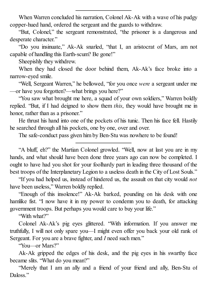When Warren concluded his narration, Colonel Ak-Ak with a wave of his pudgy copper-hued hand, ordered the sergeant and the guards to withdraw.

"But, Colonel," the sergeant remonstrated, "the prisoner is a dangerous and desperate character."

"Do you insinuate," Ak-Ak snarled, "that I, an aristocrat of Mars, am not capable of handling this Earth-scum? Be gone!"

Sheepishly they withdrew.

When they had closed the door behind them, Ak-Ak's face broke into a narrow-eyed smile.

"Well, Sergeant Warren," he bellowed, "for you once *were* a sergeant under me —or have you forgotten?—what brings you here?"

"You saw what brought me here, a squad of your own soldiers," Warren boldly replied. "But, if I had deigned to show them *this*, they would have brought me in honor, rather than as a prisoner."

He thrust his hand into one of the pockets of his tunic. Then his face fell. Hastily he searched through all his pockets, one by one, over and over.

The safe-conduct pass given him by Ben-Stu was nowhere to be found!

"A bluff, eh?" the Martian Colonel growled. "Well, now at last you are in my hands, and what should have been done three years ago can now be completed. I ought to have had you shot for your foolhardy part in leading three thousand of the best troops of the Interplanetary Legion to a useless death in the City of Lost Souls."

"If you had helped us, instead of hindered us, the assault on that city would *not* have been useless," Warren boldly replied.

"Enough of this insolence!" Ak-Ak barked, pounding on his desk with one hamlike fist. "I now have it in my power to condemn you to death, for attacking government troops. But perhaps you would care to buy your life."

"With what?"

Colonel Ak-Ak's pig eyes glittered. "With information. If you answer me truthfully, I will not only spare you—I might even offer you back your old rank of Sergeant. For you are a brave fighter, and *I* need such men."

"You—or Mars?"

Ak-Ak gripped the edges of his desk, and the pig eyes in his swarthy face became slits. "What do you mean?"

"Merely that I am an ally and a friend of your friend and ally, Ben-Stu of Daloss<sup>"</sup>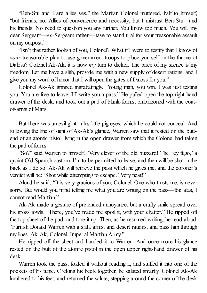"Ben-Stu and I are allies yes," the Martian Colonel muttered, half to himself, "but friends, no. Allies of convenience and necessity; but I mistrust Ben-Stu—and his friends. No need to question you any further. You know too much. You will, my dear Sergeant—*ex*-Sergeant rather—have to stand trial for your treasonable assault on my outpost."

"Isn't that rather foolish of you, Colonel? What if I were to testify that I know of *your* treasonable plan to use government troops to place yourself on the throne of Daloss? Colonel Ak-Ak, it is now *my* turn to dicker. The price of my silence is my freedom. Let me have a slith, provide me with a new supply of desert rations, and I give you my word of honor that I will open the gates of Daloss for you."

Colonel Ak-Ak grinned ingratiatingly. "Young man, you win. I was just testing you. You are free to leave. I'll write you a pass." He pulled open the top right-hand drawer of the desk, and took out a pad of blank-forms, emblazoned with the coatof-arms of Mars.

But there was an evil glint in his little pig eyes, which he could not conceal. And following the line of sight of Ak-Ak's glance, Warren saw that it rested on the buttend of an atomic pistol, lying in the open drawer from which the Colonel had taken the pad of forms.

"So?" said Warren to himself. "Very clever of the old buzzard! The 'ley fugo,' a quaint Old Spanish custom. I'm to be permitted to leave, and then will be shot in the back as I do so. Ak-Ak will retrieve the pass which he gives me, and the coroner's verdict will be: 'Shot while attempting to escape.' Very neat!"

Aloud he said, "It is very gracious of you, Colonel. One who trusts me, is never sorry. But would you mind telling me what you are writing on the pass—for, alas, I cannot read Martian"

Ak-Ak made a gesture of pretended annoyance, but a crafty smile spread over his gross jowls. "There, you've made me spoil it, with your chatter." He ripped off the top sheet of the pad, and tore it up. Then, as he resumed writing, he read aloud: "Furnish Donald Warren with a slith, arms, and desert rations, and pass him through my lines. Ak-Ak, Colonel, Imperial Martian Army."

He ripped off the sheet and handed it to Warren. And once more his glance rested on the butt of the atomic pistol in the open upper right-hand drawer of his desk.

Warren took the pass, folded it without reading it, and stuffed it into one of the pockets of his tunic. Clicking his heels together, he saluted smartly. Colonel Ak-Ak lumbered to his feet, and returned the salute, stepping around the corner of the desk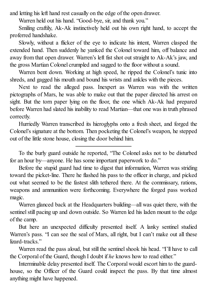and letting his left hand rest casually on the edge of the open drawer.

Warren held out his hand. "Good-bye, sir, and thank you."

Smiling craftily, Ak-Ak instinctively held out his own right hand, to accept the proferred handshake.

Slowly, without a flicker of the eye to indicate his intent, Warren clasped the extended hand. Then suddenly he yanked the Colonel toward him, off balance and away from that open drawer. Warren's left fist shot out straight to Ak-Ak's jaw, and the gross Martian Colonel crumpled and sagged to the floor without a sound.

Warren bent down. Working at high speed, he ripped the Colonel's tunic into shreds, and gagged his mouth and bound his wrists and ankles with the pieces.

Next to read the alleged pass. Inexpert as Warren was with the written pictographs of Mars, he was able to make out that the paper directed his arrest on sight. But the torn paper lying on the floor, the one which Ak-Ak had prepared before Warren had slated his inability to read Martian—that one was in truth phrased correctly.

Hurriedly Warren transcribed its hieroglyphs onto a fresh sheet, and forged the Colonel's signature at the bottom. Then pocketing the Colonel's weapon, he stepped out of the little stone house, closing the door behind him.

To the burly guard outside he reported, "The Colonel asks not to be disturbed for an hour by—anyone. He has some important paperwork to do."

Before the stupid guard had time to digest that information, Warren was striding toward the picket-line. There he flashed his pass to the officer in charge, and picked out what seemed to be the fastest slith tethered there. At the commissary, rations, weapons and ammunition were forthcoming. Everywhere the forged pass worked magic.

Warren glanced back at the Headquarters building—all was quiet there, with the sentinel still pacing up and down outside. So Warren led his laden mount to the edge of the camp.

But here an unexpected difficulty presented itself. A lanky sentinel studied Warren's pass. "I can see the seal of Mars, all right, but I can't make out all these lizard-tracks."

Warren read the pass aloud, but still the sentinel shook his head. "I'll have to call the Corporal of the Guard, though I doubt if *he* knows how to read either."

Interminable delay presented itself. The Corporal would escort him to the guardhouse, so the Officer of the Guard could inspect the pass. By that time almost anything might have happened.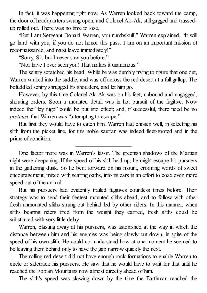In fact, it was happening right now. As Warren looked back toward the camp, the door of headquarters swung open, and Colonel Ak-Ak, still gagged and trussedup rolled out. There was no time to lose.

"But I am Sergeant Donald Warren, you numbskull!" Warren explained. "It will go hard with you, if you do not honor this pass. I am on an important mission of reconnaissance, and must leave immediately!"

"Sorry, Sir, but I never saw you before."

"Nor have I ever seen you! That makes it unanimous."

The sentry scratched his head. While he was dumbly trying to figure that one out, Warren vaulted into the saddle, and was off across the red desert at a full gallop. The befuddled sentry shrugged his shoulders, and let him go.

However, by this time Colonel Ak-Ak was on his feet, unbound and ungagged, shouting orders. Soon a mounted detail was in hot pursuit of the fugitive. Now indeed the "ley fugo" could be put into effect; and, if successful, there need be no *pretense* that Warren was "attempting to escape."

But first they would have to catch him. Warren had chosen well, in selecting his slith from the picket line, for this noble saurian was indeed fleet-footed and in the prime of condition.

One factor more was in Warren's favor. The greenish shadows of the Martian night were deepening. If the speed of his slith held up, he might escape his pursuers in the gathering dusk. So he bent forward on his mount, crooning words of sweet encouragement, mixed with searing oaths, into its ears in an effort to coax even more speed out of the animal.

But his pursuers had evidently trailed fugitives countless times before. Their strategy was to send their fleetest mounted sliths ahead, and to follow with other fresh unmounted sliths strung out behind led by other riders. In this manner, when sliths bearing riders tired from the weight they carried, fresh sliths could be substituted with very little delay.

Warren, blasting away at his pursuers, was astonished at the way in which the distance between him and his enemies was being slowly cut down, in spite of the speed of his own slith. He could not understand how at one moment he seemed to be leaving them behind only to have the gap narrow quickly the next.

The rolling red desert did not have enough rock formations to enable Warren to circle or sidetrack his pursuers. He saw that he would have to wait for that until he reached the Fobian Mountains now almost directly ahead of him.

The slith's speed was slowing down by the time the Earthman reached the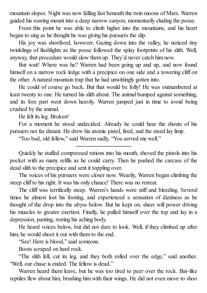mountain slopes. Night was now falling fast beneath the twin moons of Mars. Warren guided his roaring mount into a deep narrow canyon, momentarily eluding the posse.

From this point he was able to climb higher into the mountains, and his heart began to sing as he thought he was giving his pursuers the slip.

His joy was shortlived, however. Gazing down into the valley, he noticed tiny twinklings of flashlights as the posse followed the splay footprints of his slith. Well, anyway, that procedure would slow them up. They'd never catch him now.

But wait! Where was he? Warren had been going up and up, and now found himself on a narrow rock ledge with a precipice on one side and a towering cliff on the other. A natural mountain trap that he had unwittingly gotten into.

He could of course go back. But that would be folly! He was outnumbered at least twenty to one. He turned his slith about. The animal bumped against something, and its fore part went down heavily. Warren jumped just in time to avoid being crushed by the animal.

He felt its leg. Broken!

For a moment he stood undecided. Already he could hear the shouts of his pursuers not far distant. He drew his atomic pistol, fired, and the steed lay limp.

"Too bad, old fellow," said Warren sadly. "You served me well."

Quickly he stuffed compressed rations into his mouth, shoved the pistols into his pocket with as many refills as he could carry. Then he pushed the carcass of the dead slith to the precipice and sent it toppling over.

The voices of his pursuers were closer now. Wearily, Warren began climbing the steep cliff to his right. It was his only chance! There was no retreat.

The cliff was terrifically steep. Warren's hands were stiff and bleeding. Several times he almost lost his footing, and experienced a sensation of dizziness as he thought of the drop into the abyss below. But he kept on, sheer will power driving his muscles to greater exertion. Finally, he pulled himself over the top and lay in a depression, panting, resting his aching body.

He heard voices below, but did not dare to look. Well, if they climbed up after him, he would shoot it out with them to the end.

"See! Here is blood," said someone.

Boots scraped on hard rock.

"The slith fell, cut its leg, and they both rolled over the edge," said another. "Well, our chase is ended. The fellow is dead."

Warren heard them leave, but he was too tired to peer over the rock. Bat-like reptiles flew about him, brushing him with their wings. He did not even move to shoo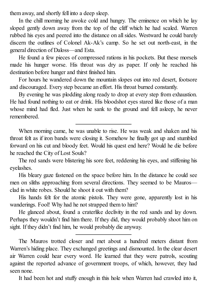them away, and shortly fell into a deep sleep.

In the chill morning he awoke cold and hungry. The eminence on which he lay sloped gently down away from the top of the cliff which he had scaled. Warren rubbed his eyes and peered into the distance on allsides. Westward he could barely discern the outlines of Colonel Ak-Ak's camp. So he set out north-east, in the general direction of Daloss—and Esta.

He found a few pieces of compressed rations in his pockets. But these morsels made his hunger worse. His throat was dry as paper. If only he reached his destination before hunger and thirst finished him.

For hours he wandered down the mountain slopes out into red desert, footsore and discouraged. Every step became an effort. His throat burned constantly.

By evening he was plodding along ready to drop at every step from exhaustion. He had found nothing to eat or drink. His bloodshot eyes stared like those of a man whose mind had fled. Just when he sank to the ground and fell asleep, he never remembered.

When morning came, he was unable to rise. He was weak and shaken and his throat felt as if iron bands were closing it. Somehow he finally got up and stumbled forward on his cut and bloody feet. Would his quest end here? Would he die before he reached the City of Lost Souls?

The red sands were blistering his sore feet, reddening his eyes, and stiffening his eyelashes.

His bleary gaze fastened on the space before him. In the distance he could see men on sliths approaching from several directions. They seemed to be Mauros clad in white robes. Should he shoot it out with them?

His hands felt for the atomic pistols. They were gone, apparently lost in his wanderings. Fool! Why had he not strapped them to him?

He glanced about, found a craterlike declivity in the red sands and lay down. Perhaps they wouldn't find him there. If they did, they would probably shoot him on sight. If they didn't find him, he would probably die anyway.

The Mauros trotted closer and met about a hundred meters distant from Warren's hiding place. They exchanged greetings and dismounted. In the clear desert air Warren could hear every word. He learned that they were patrols, scouting against the reported advance of government troops, of which, however, they had seen none.

It had been hot and stuffy enough in this hole when Warren had crawled into it,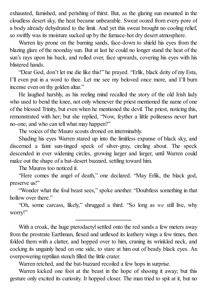exhausted, famished, and perishing of thirst. But, as the glaring sun mounted in the cloudless desert sky, the heat became unbearable. Sweat oozed from every pore of a body already dehydrated to the limit. And yet this sweat brought no cooling relief, so swiftly was its moisture sucked up by the furnace-hot dry desert atmosphere.

Warren lay prone on the burning sands, face-down to shield his eyes from the blazing glare of the noonday sun. But at last he could no longer stand the heat of the sun's rays upon his back, and rolled over, face upwards, covering his eyes with his blistered hands.

"Dear God, don't let me die like this!" he prayed. "Erlik, black deity of my Esta, I'll even put in a word to thee. Let me see my beloved once more, and I'll burn incense even on thy golden altar."

He laughed harshly, as his reeling mind recalled the story of the old Irish lady who used to bend the knee, not only whenever the priest mentioned the name of one of the blessed Trinity, but even when he mentioned the devil. The priest, noticing this, remonstrated with her; but she replied, "Now, feyther a little politeness never hurt no-one; and who can tell what may happen?"

The voices of the Mauro scouts droned on interminably.

Shading his eyes Warren stared up into the limitless expanse of black sky, and discerned a faint sun-tinged speck of silver-gray, circling about. The speck descended in ever widening circles, growing larger and larger, until Warren could make out the shape of a bat-desert buzzard, settling toward him.

The Mauros too noticed it.

"Here comes the angel of death," one declared. "May Erlik, the black god, preserve us!"

"Wonder what the foul beast sees," spoke another. "Doubtless something in that hollow over there."

"Oh, some carcass, likely," shrugged a third. "So long as *we* still live, why worry!"

With a croak, the huge pterodactyl settled onto the red sands a few meters away from the prostrate Earthman, flexed and unflexed its leathery wings a few times, then folded them with a clatter, and hopped over to him, craning its wrinkled neck, and cocking its ungainly head on one side, to stare at him out of beady black eyes. An overpowering reptilian stench filled the little crater.

Warren retched, and the bat-buzzard recoiled a few hops in surprise.

Warren kicked one foot at the beast in the hope of shooing it away; but this gesture only excited its curiosity. It hopped closer. The man tried to spit at it, but no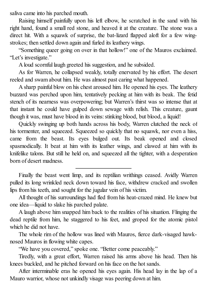saliva came into his parched mouth.

Raising himself painfully upon his left elbow, he scratched in the sand with his right hand, found a small red stone, and heaved it at the creature. The stone was a direct hit. With a squawk of surprise, the bat-lizard flapped aloft for a few wingstrokes; then settled down again and furled its leathery wings.

"Something queer going on over in that hollow!" one of the Mauros exclaimed. "Let's investigate."

A loud scornful laugh greeted his suggestion, and he subsided.

As for Warren, he collapsed weakly, totally enervated by his effort. The desert reeled and swam about him. He was almost past caring what happened.

A sharp painful blow on his chest aroused him. He opened his eyes. The leathery buzzard was perched upon him, tentatively pecking at him with its beak. The fetid stench of its nearness was overpowering; but Warren's thirst was so intense that at that instant he could have gulped down sewage with relish. This creature, gaunt though it was, must have blood in its veins: stinking blood, but blood, a liquid!

Quickly swinging up both hands across his body, Warren clutched the neck of his tormenter, and squeezed. Squeezed so quickly that no squawk, nor even a hiss, came from the beast. Its eyes bulged out. Its beak opened and closed spasmodically. It beat at him with its leather wings, and clawed at him with its knifelike talons. But still he held on, and squeezed all the tighter, with a desperation born of desert madness.

Finally the beast went limp, and its reptilian writhings ceased. Avidly Warren pulled its long wrinkled neck down toward his face, withdrew cracked and swollen lips from his teeth, and sought for the jugular vein of his victim.

All thought of his surroundings had fled from his heat-crazed mind. He knew but one idea—liquid to slake his parched palate.

A laugh above him snapped him back to the realities of his situation. Flinging the dead reptile from him, he staggered to his feet, and groped for the atomic pistol which he did not have.

The whole rim of the hollow was lined with Mauros, fierce dark-visaged hawknosed Mauros in flowing white capes.

"We have you covered," spoke one. "Better come peaceably."

Tiredly, with a great effort, Warren raised his arms above his head. Then his knees buckled, and he pitched forward on his face on the hot sands.

After interminable eras he opened his eyes again. His head lay in the lap of a Mauro warrior, whose not unkindly visage was peering down at him.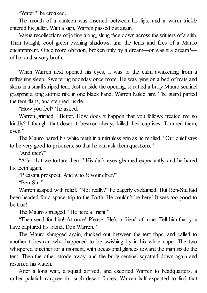"Water!" he croaked.

The mouth of a canteen was inserted between his lips, and a warm trickle entered his gullet. With a sigh, Warren passed out again.

Vague recollections of jolting along, slung face down across the withers of a slith. Then twilight, cool green evening shadows, and the tents and fires of a Mauro encampment. Once more oblivion, broken only by a dream—or was it a dream? of hot and savory broth.

When Warren next opened his eyes, it was to the calm awakening from a refreshing sleep. Sweltering noonday once more. He was lying on a bed of mats and skins in a smallstriped tent. Just outside the opening, squatted a burly Mauro sentinel grasping a long atomic rifle in one black hand. Warren hailed him. The guard parted the tent-flaps, and stepped inside.

"How you feel?" he asked.

Warren grinned. "Better. How does it happen that you fellows treated me so kindly? I thought that desert tribesmen always killed their captives. Tortured them, even."

The Mauro bared his white teeth in a mirthless grin as he replied, "Our chiefsays to be very good to prisoners, so that he can ask them questions."

"And then?"

"After that we torture them." His dark eyes gleamed expectantly, and he bared his teeth again.

"Pleasant prospect. And who *is* your chief?"

"Ben-Stu."

Warren gasped with relief. "Not really?" he eagerly exclaimed. But Ben-Stu had been headed for a space-trip to the Earth. He couldn't be here! It was too good to be true!

The Mauro shrugged. "He here all right."

"Then send for him! At once! Please! He's a friend of mine. Tell him that you have captured his friend, Don Warren."

The Mauro shrugged again, ducked out between the tent-flaps, and called to another tribesman who happened to be swishing by in his white cape. The two whispered together for a moment, with occasional glances toward the man inside the tent. Then the other strode away, and the burly sentinel squatted down again and resumed his watch.

After a long wait, a squad arrived, and escorted Warren to headquarters, a rather palatial marquee for such desert forces. Warren half expected to find that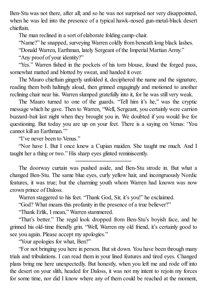Ben-Stu was not there, after all; and so he was not surprised nor very disappointed, when he was led into the presence of a typical hawk-nosed gun-metal-black desert chieftain.

The man reclined in a sort of elaborate folding camp-chair.

"Name?" he snapped, surveying Warren coldly from beneath long black lashes.

"Donald Warren, Earthman, lately Sergeant of the Imperial Martian Army."

"Any proof of your identity?"

"Yes." Warren fished in the pockets of his torn blouse, found the forged pass, somewhat matted and blotted by sweat, and handed it over.

The Mauro chieftain gingerly unfolded it, deciphered the name and the signature, reading them both haltingly aloud, then grinned engagingly and motioned to another reclining chair near his. Warren slumped gratefully into it, for he was still very weak.

The Mauro turned to one of the guards. "Tell him it's he," was the cryptic message which he gave. Then to Warren, "Well, Sergeant, you certainly were carrion buzzard-bait last night when they brought you in. We doubted if you would live for questioning. But today you are up on your feet. There is a saying on Venus: 'You cannot kill an Earthman<sup>"</sup>

"I've never been to Venus."

"Nor have I. But I once knew a Cupian maiden. She taught me much. And I taught her a thing or two." His sharp eyes glinted reminiscently.

The doorway curtain was pushed aside, and Ben-Stu strode in. But what a changed Ben-Stu. The same blue eyes, curly yellow hair, and incongruously Nordic features, it was true; but the charming youth whom Warren had known was now crown prince of Daloss.

Warren staggered to his feet. "Thank God, Sir, it's you!" he exclaimed.

"God? What means this profanity in the presence of a true believer?"

"Thank Erlik, I mean," Warren stammered.

"That's better." The regal look dropped from Ben-Stu's boyish face, and he grinned his old-time friendly grin. "Well, Warren my old friend, it's certainly good to see you again. Please accept my apologies."

"Your apologies for what, Ben?"

"For not bringing you here in person. But sit down. You have been through many trials and tribulations. I can read them in your lined features and tired eyes. Changed plans bring me here unexpectedly. But honestly, when you left me and rode off into the desert on your slith, headed for Daloss, it was not my intent to rejoin my forces for some time, nor did I know where any of them could be reached at the moment,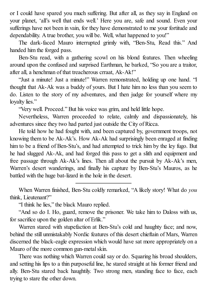or I could have spared you much suffering. But after all, as they say in England on your planet, 'all's well that ends well.' Here you are, safe and sound. Even your sufferings have not been in vain, for they have demonstrated to me your fortitude and dependability. A true brother, you will be. Well, what happened to you!"

The dark-faced Mauro interrupted grimly with, "Ben-Stu, Read this." And handed him the forged pass.

Ben-Stu read, with a gathering scowl on his blond features. Then wheeling around upon the confused and surprised Earthman, he barked, "So you are a traitor, after all, a henchman of that treacherous crraat, Ak-Ak!"

"Just a minute! Just a minute!" Warren remonstrated, holding up one hand. "I thought that Ak-Ak was a buddy of yours. But I hate him no less than you seem to do. Listen to the story of my adventures, and then judge for yourself where my loyalty lies."

"Very well. Proceed." But his voice was grim, and held little hope.

Nevertheless, Warren proceeded to relate, calmly and dispassionately, his adventures since they two had parted just outside the City of Ricca.

He told how he had fought with, and been captured by, government troops, not knowing them to be Ak-Ak's. How Ak-Ak had surprisingly been enraged at finding him to be a friend of Ben-Stu's, and had attempted to trick him by the ley fugo. But he had slugged Ak-Ak, and had forged this pass to get a slith and equipment and free passage through Ak-Ak's lines. Then all about the pursuit by Ak-Ak's men, Warren's desert wanderings, and finally his capture by Ben-Stu's Mauros, as he battled with the huge bat-lizard in the hole in the desert.

When Warren finished, Ben-Stu coldly remarked, "A likely story! What do *you* think, Lieutenant?"

"I think he lies," the black Mauro replied.

"And so do I. Ho, guard, remove the prisoner. We take him to Daloss with us, for sacrifice upon the golden altar of Erlik."

Warren stared with stupefaction at Ben-Stu's cold and haughty face; and now, behind the still unmistakably Nordic features of this desert chieftain of Mars, Warren discerned the black-eagle expression which would have sat more appropriately on a Mauro of the more common gun-metal skin.

There was nothing which Warren could say or do. Squaring his broad shoulders, and setting his lips to a thin purposeful line, he stared straight at his former friend and ally. Ben-Stu stared back haughtily. Two strong men, standing face to face, each trying to stare the other down.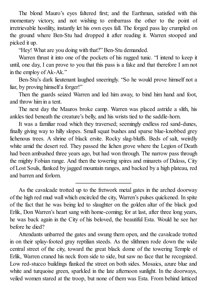The blond Mauro's eyes faltered first; and the Earthman, satisfied with this momentary victory, and not wishing to embarrass the other to the point of irretrievable hostility, instantly let his own eyes fall. The forged pass lay crumpled on the ground where Ben-Stu had dropped it after reading it. Warren stooped and picked it up.

"Hey! What are you doing with that?" Ben-Stu demanded.

Warren thrust it into one of the pockets of his ragged tunic. "I intend to keep it until, one day, I can prove to you that this pass is a fake and that therefore I am not in the employ of Ak-Ak."

Ben-Stu's dark lieutenant laughed sneeringly. "So he would prove himself not a liar, by proving himself a forger!"

Then the guards seized Warren and led him away, to bind him hand and foot, and throw him in a tent.

The next day the Mauros broke camp. Warren was placed astride a slith, his ankles tied beneath the creature's belly, and his wrists tied to the saddle-horn.

It was a familiar road which they traversed; seemingly endless red sand-dunes, finally giving way to hilly slopes. Small squat bushes and sparse blue-knobbed grey lichenous trees. A shrine of black ersite. Rocky slag-bluffs. Beds of salt, weirdly white amid the desert red. They passed the lichen grove where the Legion of Death had been ambushed three years ago, but had won through. The narrow pass through the mighty Fobian range. And then the towering spires and minarets of Daloss, City of Lost Souls, flanked by jagged mountain ranges, and backed by a high plateau, red and barren and forlorn.

As the cavalcade trotted up to the fretwork metal gates in the arched doorway of the high red mud wall which encircled the city, Warren's pulses quickened. In spite of the fact that he was being led to slaughter on the golden altar of the black god Erlik, Don Warren's heart sang with home-coming; for at last, after three long years, he was back again in the City of his beloved, the beautiful Esta. Would he see her before he died?

Attendants unbarred the gates and swung them open, and the cavalcade trotted in on their splay-footed gray reptilian steeds. As the slithmen rode down the wide central street of the city, toward the great black dome of the towering Temple of Erlik, Warren craned his neck from side to side, but saw no face that he recognized. Low red-stucco buildings flanked the street on both sides. Mosaics, azure blue and white and turquoise green, sparkled in the late afternoon sunlight. In the doorways, veiled women stared at the troop, but none of them was Esta. From behind latticed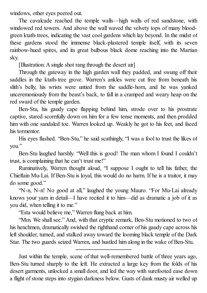windows, other eyes peered out.

The cavalcade reached the temple walls—high walls of red sandstone, with windowed red towers. And above the wall waved the velvety tops of many bloodgreen ktath-trees, indicating the vast cool gardens which lay beyond. In the midst of these gardens stood the immense black-plastered temple itself, with its seven rainbow-hued spires, and its great bulbous black dome reaching into the Martian sky.

[Illustration: A single shot rang through the desert air]

Through the gateway in the high garden wall they padded, and swung off their saddles in the ktath-tree grove. Warren's ankles were cut free from beneath his slith's belly, his wrists were untied from the saddle-horn, and he was yanked unceremoniously from the beast's back, to fall in a cramped and weary heap on the red sward of the temple garden.

Ben-Stu, his gaudy cape flapping behind him, strode over to his prostrate captive, stared scornfully down on him for a few tense moments, and then prodded him with one sandaled toe. Warren looked up. Weakly he got to his feet, and faced his tormentor.

His eyes flashed. "Ben-Stu," he said scathingly, "I was a fool to trust the likes of you."

Ben-Stu laughed harshly. "Well this is good! The man whom I found I couldn't trust, is complaining that he can't trust me!"

Ruminatively, Warren thought aloud, "I suppose I ought to tell his father, the Chieftain Mu-Lai. If Ben-Stu is loyal, this would do no harm. If he is a traitor, it may do some good."

"N-n, N-n! No good at all," laughed the young Mauro. "For Mu-Lai already knows your yarn in detail—I have recited it to him—did as dramatic a job of it as you did, when telling it to me."

"Esta would believe me," Warren flung back at him.

"Mm. We shall see." And, with that cryptic remark, Ben-Stu motioned to two of his henchmen, dramatically swished the righthand corner of his gaudy cape across his left shoulder, turned, and stalked away toward the looming black temple of the Dark Star. The two guards seized Warren, and hustled him along in the wake of Ben-Stu.

Just within the temple, scene of that well-remembered battle of three years ago, Ben-Stu turned sharply to the left. He extracted a large key from the folds of his desert garments, unlocked a small door, and led the way with surefooted ease down a flight of stone steps into stygian darkness below. Gusts of dank musty air welled up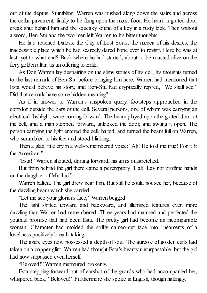out of the depths. Stumbling, Warren was pushed along down the stairs and across the cellar pavement, finally to be flung upon the moist floor. He heard a grated door creak shut behind him and the squeaky sound of a key in a rusty lock. Then without a word, Ben-Stu and the two men left Warren to his bitter thoughts.

He had reached Daloss, the City of Lost Souls, the mecca of his desires, the inaccessible place which he had scarcely dared hope ever to revisit. Here he was at last, yet to what end? Back where he had started, about to be roasted alive on the fiery golden altar, as an offering to Erlik.

As Don Warren lay despairing on the slimy stones of his cell, his thoughts turned to the last remark of Ben-Stu before bringing him here. Warren had mentioned that Esta would believe his story, and Ben-Stu had cryptically replied, "We shall see." Did that remark have some hidden meaning?

As if in answer to Warren's unspoken query, footsteps approached in the corridor outside the bars of the cell. Several persons, one of whom was carrying an electrical flashlight, were coming forward. The beam played upon the grated door of the cell, and a man stepped forward, unlocked the door, and swung it open. The person carrying the light entered the cell, halted, and turned the beam full on Warren, who scrambled to his feet and stood blinking.

Then a glad little cry in a well-remembered voice: "Ah! He told me true! For it *is* the American"

"Esta!" Warren shouted, darting forward, his arms outstretched.

But from behind the girl there came a peremptory "Halt! Lay not profane hands on the daughter of Mu-Lai."

Warren halted. The girl drew near him. But still he could not see her, because of the dazzling beam which she carried.

"Let me see your glorious face," Warren begged.

The light shifted upward and backward, and illumined features even more dazzling than Warren had remembered. Three years had matured and perfected the youthful promise that had been Esta. The pretty girl had become an incomparable woman. Character had molded the softly cameo-cut face into lineaments of a loveliness positively breath-taking.

The azure eyes now possessed a depth of soul. The aureole of golden curls had taken on a copper glint. Warren had thought Esta's beauty unsurpassable, but the girl had now surpassed even herself.

"Beloved!" Warren murmured brokenly.

Esta stepping forward out of earshot of the guards who had accompanied her, whispered back, "Beloved!" Furthermore she spoke in English, though haltingly.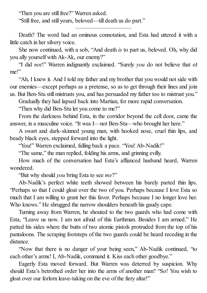"Then you are still free?" Warren asked.

"Still free, and still yours, beloved—till death us do part."

Death? The word had an ominous connotation, and Esta had uttered it with a little catch in her silvery voice.

She now continued, with a sob, "And death *is* to part us, beloved. Oh, why did you ally yourself with Ak-Ak, our enemy?"

"I did *not*!" Warren indignantly exclaimed. "Surely *you* do not believe that of me!"

"Ah, I knew it. And I told my father and my brother that you would not side with our enemies—except perhaps as a pretense, so as to get through their lines and join us. But Ben-Stu still mistrusts you, and has persuaded my father too to mistrust you."

Gradually they had lapsed back into Martian, for more rapid conversation.

"Then why did Ben-Stu let you come to me?"

From the darkness behind Esta, in the corridor beyond the cell door, came the answer, in a masculine voice. "It was I—not Ben-Stu—who brought her here."

A swart and dark-skinned young man, with hooked nose, cruel thin lips, and beady black eyes, stepped forward into the light.

"You!" Warren exclaimed, falling back a pace. "You! Ab-Nadik!"

"The same," the man replied, folding his arms, and grinning evilly.

How much of the conversation had Esta's affianced husband heard, Warren wondered.

"But why should *you* bring Esta to see *me*?"

Ab-Nadik's perfect white teeth showed between his barely parted thin lips. "Perhaps so that I could gloat over the two of you. Perhaps because I love Esta so much that I am willing to grant her this favor. Perhaps because I no longer love her. Who knows." He shrugged the narrow shoulders beneath his gaudy cape.

Turning away from Warren, he shouted to the two guards who had come with Esta, "Leave us now. I am not afraid of this Earthman. Besides I am armed." He patted his sides where the butts of two atomic pistols protruded from the top of his pantaloons. The scraping footsteps of the two guards could be heard receding in the distance.

"Now that there is no danger of your being seen," Ab-Nadik continued, "to each other's arms! I, Ab-Nadik, command it. Kiss each other goodbye."

Eagerly Esta moved forward. But Warren was deterred by suspicion. Why should Esta's betrothed order her into the arms of another man? "So! You wish to gloat over our forlorn leave-taking on the eve of the fiery altar!"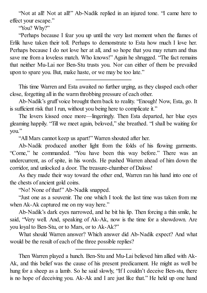"Not at all! Not at all!" Ab-Nadik replied in an injured tone. "I came here to effect your escape."

"You? Why?"

"Perhaps because I fear you up until the very last moment when the flames of Erlik have taken their toll. Perhaps to demonstrate to Esta how much I love her. Perhaps because I do not love her at all, and so hope that you may return and thus save me from a loveless match. Who knows!" Again he shrugged. "The fact remains that neither Mu-Lai nor Ben-Stu trusts you. Nor can either of them be prevailed upon to spare you. But, make haste, or we may be too late."

This time Warren and Esta awaited no further urging, as they clasped each other close, forgetting all in the warm throbbing pressure of each other.

Ab-Nadik's gruff voice brought them back to reality. "Enough! Now, Esta, go. It is sufficient risk that I run, without you being here to complicate it."

The lovers kissed once more—lingeringly. Then Esta departed, her blue eyes gleaming happily. "Till we meet again, beloved," she breathed. "I shall be waiting for you."

"All Mars cannot keep us apart!" Warren shouted after her.

Ab-Nadik produced another light from the folds of his flowing garments. "Come," he commanded. "You have been this way before." There was an undercurrent, as of spite, in his words. He pushed Warren ahead of him down the corridor, and unlocked a door. The treasure-chamber of Daloss!

As they made their way toward the other end, Warren ran his hand into one of the chests of ancient gold coins.

"No! None of that!" Ab-Nadik snapped.

"Just one as a souvenir. The one which I took the last time was taken from me when Ak-Ak captured me on my way here."

Ab-Nadik's dark eyes narrowed, and he bit his lip. Then forcing a thin smile, he said, "Very well. And, speaking of Ak-Ak, now is the time for a showdown. Are you loyal to Ben-Stu, or to Mars, or to Ak-Ak?"

What should Warren answer? Which answer did Ab-Nadik expect? And what would be the result of each of the three possible replies?

Then Warren played a hunch. Ben-Stu and Mu-Lai believed him allied with Ak-Ak, and this belief was the cause of his present predicament. He might as well be hung for a sheep as a lamb. So he said slowly, "If I couldn't deceive Ben-stu, there is no hope of deceiving you. Ak-Ak and I are just like that." He held up one hand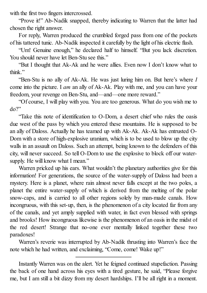with the first two fingers intercrossed.

"Prove it!" Ab-Nadik snapped, thereby indicating to Warren that the latter had chosen the right answer.

For reply, Warren produced the crumbled forged pass from one of the pockets of his tattered tunic. Ab-Nadik inspected it carefully by the light of his electric flash.

"Um! Genuine enough," he declared half to himself. "But you lack discretion. You should never have let Ben-Stu see this."

"But I thought that Ak-Ak and he were allies. Even now I don't know what to think"

"Ben-Stu is no ally of Ak-Ak. He was just luring him on. But here's where *I* come into the picture. I *am* an ally of Ak-Ak. Play with me, and you can have your freedom, your revenge on Ben-Stu, and—and—one more reward."

"Of course, I will play with you. You are too generous. What do you wish me to do?"

"Take this note of identification to O-Dom, a desert chief who rules the oasis due west of the pass by which you entered these mountains. He is supposed to be an ally of Daloss. Actually he has teamed up with Ak-Ak. Ak-Ak has entrusted O-Dom with a store of high-explosive uranium, which is to be used to blow up the city walls in an assault on Daloss. Such an attempt, being known to the defenders of this city, will never succeed. So tell O-Dom to use the explosive to block off our watersupply. He will know what I mean."

Warren pricked up his ears. What wouldn't the planetary authorities give for this information! For generations, the source of the water-supply of Daloss had been a mystery. Here is a planet, where rain almost never falls except at the two poles, a planet the entire water-supply of which is derived from the melting of the polar snow-caps, and is carried to all other regions solely by man-made canals. How incongruous, with this set-up, then, is the phenomenon of a city located far from any of the canals, and yet amply supplied with water, in fact even blessed with springs and brooks! How incongruous likewise is the phenomenon of an oasis in the midst of the red desert! Strange that no-one ever mentally linked together these two paradoxes!

Warren's reverie was interrupted by Ab-Nadik thrusting into Warren's face the note which he had written, and exclaiming, "Come, come! Wake up!"

Instantly Warren was on the alert. Yet he feigned continued stupefaction. Passing the back of one hand across his eyes with a tired gesture, he said, "Please forgive me, but I am still a bit dizzy from my desert hardships. I'll be all right in a moment.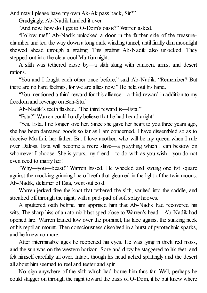And may I please have my own Ak-Ak pass back, Sir?"

Grudgingly, Ab-Nadik handed it over.

"And now, how do I get to O-Dom's oasis?" Warren asked.

"Follow me!" Ab-Nadik unlocked a door in the farther side of the treasurechamber and led the way down a long dark winding tunnel, untilfinally dim moonlight showed ahead through a grating. This grating Ab-Nadik also unlocked. They stepped out into the clear cool Martian night.

A slith was tethered close by—a slith slung with canteen, arms, and desert rations.

"You and I fought each other once before," said Ab-Nadik. "Remember? But there are no hard feelings, for we are allies now." He held out his hand.

"You mentioned a third reward for this alliance—a third reward in addition to my freedom and revenge on Ben-Stu."

Ab-Nadik's teeth flashed. "The third reward is—Esta."

"Esta?" Warren could hardly believe that he had heard aright!

"Yes. Esta. I no longer love her. Since she gave her heart to you three years ago, she has been damaged goods so far as I am concerned. I have dissembled so as to deceive Mu-Lai, her father. But I love another, who will be my queen when I rule over Daloss. Esta will become a mere slave—a plaything which I can bestow on whomever I choose. She is yours, my friend—to do with as you wish—you do not even need to marry her!"

"Why—you—beast!" Warren hissed. He wheeled and swung one fist square against the mocking grinning line of teeth that gleamed in the light of the twin moons. Ab-Nadik, defamer of Esta, went out cold.

Warren jerked free the knot that tethered the slith, vaulted into the saddle, and streaked off through the night, with a pad-pad of soft splay hooves.

A sputtered oath behind him apprised him that Ab-Nadik had recovered his wits. The sharp hiss of an atomic blast sped close to Warren's head—Ab-Nadik had opened fire. Warren leaned low over the pommel, his face against the stinking neck of his reptilian mount. Then consciousness dissolved in a burst of pyrotechnic sparks, and he knew no more.

After interminable ages he reopened his eyes. He was lying in thick red moss, and the sun was on the western horizon. Sore and dizzy he staggered to his feet, and felt himself carefully all over. Intact, though his head ached splittingly and the desert all about him seemed to reel and teeter and spin.

No sign anywhere of the slith which had borne him thus far. Well, perhaps he could stagger on through the night toward the oasis of O-Dom, if he but knew where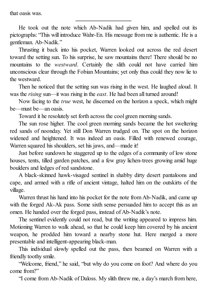that oasis was.

He took out the note which Ab-Nadik had given him, and spelled out its pictographs: "This will introduce Wahr-En. His message from me is authentic. He is a gentleman. Ab-Nadik."

Thrusting it back into his pocket, Warren looked out across the red desert toward the setting sun. To his surprise, he saw mountains there! There should be no mountains to the *westward*. Certainly the slith could not have carried him unconscious clear through the Fobian Mountains; yet only thus could they now lie to the westward.

Then he noticed that the setting sun was rising in the west. He laughed aloud. It was the *rising* sun—it was rising in the *east*. He had been all turned around!

Now facing to the *true* west, he discerned on the horizon a speck, which might be—must be—an oasis.

Toward it he resolutely set forth across the cool green morning sands.

The sun rose higher. The cool green morning sands became the hot sweltering red sands of noonday. Yet still Don Warren trudged on. The spot on the horizon widened and heightened. It was indeed an oasis. Filled with renewed courage, Warren squared his shoulders, set his jaws, and—made it!

Just before sundown he staggered up to the edges of a community of low stone houses, tents, tilled garden patches, and a few gray lichen-trees growing amid huge boulders and ledges of red sandstone.

A black-skinned hawk-visaged sentinel in shabby dirty desert pantaloons and cape, and armed with a rifle of ancient vintage, halted him on the outskirts of the village.

Warren thrust his hand into his pocket for the note from Ab-Nadik, and came up with the forged Ak-Ak pass. Some sixth sense persuaded him to accept this as an omen. He handed over the forged pass, instead of Ab-Nadik's note.

The sentinel evidently could not read, but the writing appeared to impress him. Motioning Warren to walk ahead, so that he could keep him covered by his ancient weapon, he prodded him toward a nearby stone hut. Here merged a more presentable and intelligent-appearing black-man.

This individual slowly spelled out the pass, then beamed on Warren with a friendly toothy smile.

"Welcome, friend," he said, "but why do you come on foot? And where do you come from?"

"I come from Ab-Nadik of Daloss. My slith threw me, a day's march from here,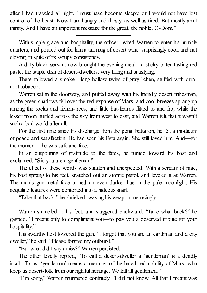after I had traveled all night. I must have become sleepy, or I would not have lost control of the beast. Now I am hungry and thirsty, as well as tired. But mostly am I thirsty. And I have an important message for the great, the noble, O-Dom."

With simple grace and hospitality, the officer invited Warren to enter his humble quarters, and poured out for him a tall mug of desert wine, surprisingly cool, and not cloying, in spite of its syrupy consistency.

A dirty black servant now brought the evening meal—a sticky bitter-tasting red paste, the staple dish of desert-dwellers, very filling and satisfying.

There followed a smoke—long hollow twigs of gray lichen, stuffed with orraroot tobacco.

Warren sat in the doorway, and puffed away with his friendly desert tribesman, as the green shadows fell over the red expanse of Mars, and cool breezes sprang up among the rocks and lichen-trees, and little bat-lizards flitted to and fro, while the lesser moon hurtled across the sky from west to east, and Warren felt that it wasn't such a bad world after all.

For the first time since his discharge from the penal battalion, he felt a modicum of peace and satisfaction. He had seen his Esta again. She still loved him. And—for the moment—he was safe and free.

In an outpouring of gratitude to the fates, he turned toward his host and exclaimed, "Sir, you are a gentleman!"

The effect of these words was sudden and unexpected. With a scream of rage, his host sprang to his feet, snatched out an atomic pistol, and leveled it at Warren. The man's gun-metal face turned an even darker hue in the pale moonlight. His acquiline features were contorted into a hideous snarl.

"Take that back!" he shrieked, waving his weapon menacingly.

Warren stumbled to his feet, and staggered backward. "Take what back?" he gasped. "I meant only to compliment you—to pay you a deserved tribute for your hospitality."

His swarthy host lowered the gun. "I forgot that you are an earthman and a city dweller," he said. "Please forgive my outburst."

"But what did I say amiss?" Warren persisted.

The other levelly replied, "To call a desert-dweller a 'gentleman' is a deadly insult. To us, 'gentleman' means a member of the hated red nobility of Mars, who keep us desert-folk from our rightful heritage. We kill all gentlemen."

"I'm sorry," Warren murmured contritely. "I did not know. All that I meant was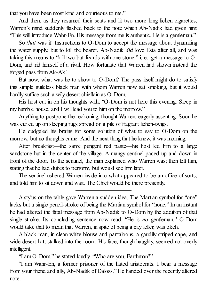that you have been most kind and courteous to me."

And then, as they resumed their seats and lit two more long lichen cigarettes, Warren's mind suddenly flashed back to the note which Ab-Nadik had given him: "This will introduce Wahr-En. His message from me is authentic. He is a gentleman."

So *that* was it! Instructions to O-Dom to accept the message about dynamiting the water supply, but to kill the bearer. Ab-Nadik *did* love Esta after all, and was taking this means to "kill two bat-lizards with one stone," i. e.: get a message to O-Dom, and rid himself of a rival. How fortunate that Warren had shown instead the forged pass from Ak-Ak!

But now, what was he to show to O-Dom? The pass itself might do to satisfy this simple guileless black man with whom Warren now sat smoking, but it would hardly suffice such a wily desert chieftain as O-Dom.

His host cut in on his thoughts with, "O-Dom is not here this evening. Sleep in my humble house, and I will lead you to him on the morrow."

Anything to postpone the reckoning, thought Warren, eagerly assenting. Soon he was curled up on sleeping rugs spread on a pile of fragrant lichen-twigs.

He cudgeled his brains for some solution of what to say to O-Dom on the morrow, but no thoughts came. And the next thing that he knew, it was morning.

After breakfast—the same pungent red paste—his host led him to a large sandstone hut in the center of the village. A mangy sentinel paced up and down in front of the door. To the sentinel, the man explained who Warren was; then left him, stating that he had duties to perform, but would see him later.

The sentinel ushered Warren inside into what appeared to be an office of sorts, and told him to sit down and wait. The Chief would be there presently.

A black man, in clean white blouse and pantaloons, a gaudily striped cape, and wide desert hat, stalked into the room. His face, though haughty, seemed not overly intelligent.

"I am O-Dom," he stated loudly. "Who are you, Earthman?"

"I am Wahr-En, a former prisoner of the hated aristocrats. I bear a message from your friend and ally, Ab-Nadik of Daloss." He handed over the recently altered note.

A stylus on the table gave Warren a sudden idea. The Martian symbol for "one" lacks but a single pencil-stroke of being the Martian symbol for "none." In an instant he had altered the fatal message from Ab-Nadik to O-Dom by the addition of that single stroke. Its concluding sentence now read: "He is *no* gentleman." O-Dom would take that to mean that Warren, in spite of being a city feller, was okeh.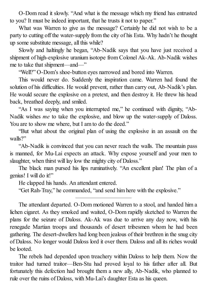O-Dom read it slowly. "And what is the message which my friend has entrusted to you? It must be indeed important, that he trusts it not to paper."

What was Warren to give as the message? Certainly he did not wish to be a party to cutting off the water-supply from the city of his Esta. Why hadn't he thought up some substitute message, all this while?

Slowly and haltingly he began, "Ab-Nadik says that you have just received a shipment of high-explosive uranium isotope from Colonel Ak-Ak. Ab-Nadik wishes me to take that shipment—and—"

"Well?" O-Dom's shoe-button eyes narrowed and bored into Warren.

This would never do. Suddenly the inspiration came. Warren had found the solution of his difficulties. He would prevent, rather than carry out, Ab-Nadik's plan. He would secure the explosive on a pretext, and then destroy it. He threw his head back, breathed deeply, and smiled.

"As I was saying when you interrupted me," he continued with dignity, "Ab-Nadik wishes *me* to take the explosive, and blow up the water-supply of Daloss. You are to show me where, but I am to do the deed."

"But what about the original plan of using the explosive in an assault on the walls?"

"Ab-Nadik is convinced that you can never reach the walls. The mountain pass is manned, for Mu-Lai expects an attack. Why expose yourself and your men to slaughter, when thirst will lay low the mighty city of Daloss."

The black man pursed his lips ruminatively. "An excellent plan! The plan of a genius! I will do it!"

He clapped his hands. An attendant entered.

"Get Rah-Tray," he commanded, "and send him here with the explosive."

The attendant departed. O-Dom motioned Warren to a stool, and handed him a lichen cigaret. As they smoked and waited, O-Dom rapidly sketched to Warren the plans for the seizure of Daloss. Ak-Ak was due to arrive any day now, with his renegade Martian troops and thousands of desert tribesmen whom he had been gathering. The desert-dwellers had long been jealous of their brethren in the snug city of Daloss. No longer would Daloss lord it over them. Daloss and all its riches would be looted.

The rebels had depended upon treachery within Daloss to help them. Now the traitor had turned traitor—Ben-Stu had proved loyal to his father after all. But fortunately this defection had brought them a new ally, Ab-Nadik, who planned to rule over the ruins of Daloss, with Mu-Lai's daughter Esta as his queen.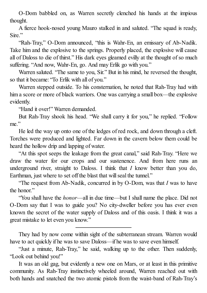O-Dom babbled on, as Warren secretly clenched his hands at the impious thought.

A fierce hook-nosed young Mauro stalked in and saluted. "The squad is ready, Sire."

"Rah-Tray," O-Dom announced, "this is Wahr-En, an emissary of Ab-Nadik. Take him and the explosive to the springs. Properly placed, the explosive will cause all of Daloss to die of thirst." His dark eyes gleamed evilly at the thought of so much suffering. "And now, Wahr-En, go. And may Erlik go with you."

Warren saluted. "The same to you, Sir." But in his mind, he reversed the thought, so that it became: "To Erlik with all of you."

Warren stepped outside. To his consternation, he noted that Rah-Tray had with him a score or more of black warriors. One was carrying a small box—the explosive evidently.

"Hand it over!" Warren demanded.

But Rah-Tray shook his head. "We shall carry it for you," he replied. "Follow me"

He led the way up onto one of the ledges of red rock, and down through a cleft. Torches were produced and lighted. Far down in the cavern below them could be heard the hollow drip and lapping of water.

"At this spot seeps the leakage from the great canal," said Rah-Tray. "Here we draw the water for our crops and our sustenence. And from here runs an underground river, straight to Daloss. I think that *I* know better than you do, Earthman, just where to set off the blast that will seal the tunnel."

"The request from Ab-Nadik, concurred in by O-Dom, was that *I* was to have the honor"

"You shall have the *honor*—all in due time—but I shall name the place. Did not O-Dom say that I was to guide you? No city-dweller before you has ever even known the secret of the water supply of Daloss and of this oasis. I think it was a great mistake to let even you know."

They had by now come within sight of the subterranean stream. Warren would have to act quickly if he was to save Daloss—if he was to save even himself.

"Just a minute, Rah-Tray," he said, walking up to the other. Then suddenly, "Look out behind you!"

It was an old gag, but evidently a new one on Mars, or at least in this primitive community. As Rah-Tray instinctively wheeled around, Warren reached out with both hands and snatched the two atomic pistols from the waist-band of Rah-Tray's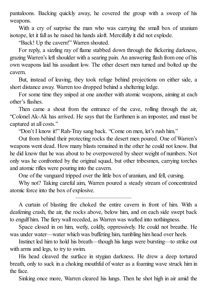pantaloons. Backing quickly away, he covered the group with a sweep of his weapons.

With a cry of surprise the man who was carrying the small box of uranium isotope, let it fall as he raised his hands aloft. Mercifully it did not explode.

"Back! Up the cavern!" Warren shouted.

For reply, a sizzling ray of flame stabbed down through the flickering darkness, grazing Warren's left shoulder with a searing pain. An answering flash from one of his own weapons laid his assailant low. The other desert men turned and bolted up the cavern.

But, instead of leaving, they took refuge behind projections on either side, a short distance away. Warren too dropped behind a sheltering ledge.

For some time they sniped at one another with atomic weapons, aiming at each other's flashes.

Then came a shout from the entrance of the cave, rolling through the air, "Colonel Ak-Ak has arrived. He says that the Earthmen is an imposter, and must be captured at all costs."

"Don't I know it!" Rah-Tray sang back. "Come on men, let's rush him."

Out from behind their protecting rocks the desert men poured. One of Warren's weapons went dead. How many blasts remained in the other he could not know. But he did know that he was about to be overpowered by sheer weight of numbers. Not only was he confronted by the original squad, but other tribesmen, carrying torches and atomic rifles were pouring into the cavern.

One of the vanguard tripped over the little box of uranium, and fell, cursing.

Why not? Taking careful aim, Warren poured a steady stream of concentrated atomic force into the box of explosive.

A curtain of blasting fire choked the entire cavern in front of him. With a deafening crash, the air, the rocks above, below him, and on each side swept back to engulf him. The fiery wall receded, as Warren was wafted into nothingness.

Space closed in on him, wetly, coldly, oppressively. He could not breathe. He was under water—water which was buffeting him, tumbling him head over heels.

Instinct led him to hold his breath—though his lungs were bursting—to strike out with arms and legs, to try to swim.

His head cleaved the surface in stygian darkness. He drew a deep tortured breath, only to suck in a choking mouthful of water as a foaming wave struck him in the face.

Sinking once more, Warren cleared his lungs. Then he shot high in air amid the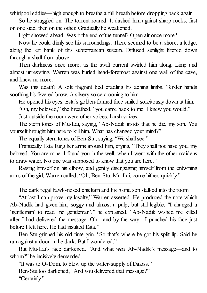whirlpool eddies—high enough to breathe a full breath before dropping back again.

So he struggled on. The torrent roared. It dashed him against sharp rocks, first on one side, then on the other. Gradually he weakened.

Light showed ahead. Was it the end of the tunnel? Open air once more?

Now he could dimly see his surroundings. There seemed to be a shore, a ledge, along the left bank of this subterranean stream. Diffused sunlight filtered down through a shaft from above.

Then darkness once more, as the swift current swirled him along. Limp and almost unresisting, Warren was hurled head-foremost against one wall of the cave, and knew no more.

Was this death? A soft fragrant bed cradling his aching limbs. Tender hands soothing his fevered brow. A silvery voice crooning to him.

He opened his eyes. Esta's golden-framed face smiled solicitously down at him.

"Oh, my beloved," she breathed, "you came back to me. I knew you would."

Just outside the room were other voices, harsh voices.

The stern tones of Mu-Lai, saying, "Ab-Nadik insists that he die, my son. You yourself brought him here to kill him. What has changed your mind?"

The equally stern tones of Ben-Stu, saying, "We shall see."

Frantically Esta flung her arms around him, crying, "They shall not have you, my beloved. You are mine. I found you in the well, when I went with the other maidens to draw water. No one was supposed to know that you are here."

Raising himself on his elbow, and gently disengaging himself from the entwining arms of the girl, Warren called, "Oh, Ben-Stu, Mu-Lai, come hither, quickly."

"At last I can prove my loyalty," Warren asserted. He produced the note which Ab-Nadik had given him, soggy and almost a pulp, but still legible. "I changed a 'gentleman' to read 'no gentleman'," he explained. "Ab-Nadik wished me killed after I had delivered the message. Oh—and by the way—I punched his face just before I left here. He had insulted Esta."

Ben-Stu grinned his old-time grin. "So that's where he got his split lip. Said he ran against a door in the dark. But I wondered."

But Mu-Lai's face darkened. "And what *was* Ab-Nadik's message—and to whom?" he incisively demanded.

"It was to O-Dom, to blow up the water-supply of Daloss." Ben-Stu too darkened, "And you delivered that message?" "Certainly."

The dark regal hawk-nosed chieftain and his blond son stalked into the room.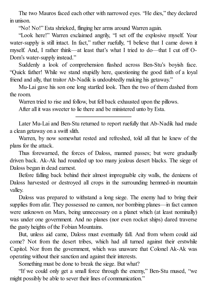The two Mauros faced each other with narrowed eyes. "He dies," they declared in unison.

"No! No!" Esta shrieked, flinging her arms around Warren again.

"Look here!" Warren exclaimed angrily, "I set off the explosive myself. Your water-supply is still intact. In fact," rather ruefully, "I believe that I came down it myself. And, I rather think—at least that's what I tried to do—that I cut off O-Dom's water-supply instead."

Suddenly a look of comprehension flashed across Ben-Stu's boyish face. "Quick father! While we stand stupidly here, questioning the good faith of a loyal friend and ally, that traitor Ab-Nadik is undoubtedly making his getaway."

Mu-Lai gave his son one long startled look. Then the two of them dashed from the room.

Warren tried to rise and follow, but fell back exhausted upon the pillows.

After all it was sweeter to lie there and be ministered unto by Esta.

Later Mu-Lai and Ben-Stu returned to report ruefully that Ab-Nadik had made a clean getaway on a swift slith.

Warren, by now somewhat rested and refreshed, told all that he knew of the plans for the attack.

Thus forewarned, the forces of Daloss, manned passes; but were gradually driven back. Ak-Ak had rounded up too many jealous desert blacks. The siege of Daloss began in dead earnest.

Before falling back behind their almost impregnable city walls, the denizens of Daloss harvested or destroyed all crops in the surrounding hemmed-in mountain valley.

Daloss was prepared to withstand a long siege. The enemy had to bring their supplies from afar. They possessed no cannon, nor bombing planes—in fact cannon were unknown on Mars, being unnecessary on a planet which (at least nominally) was under one government. And no planes (nor even rocket ships) dared traverse the gusty heights of the Fobian Mountains.

But, unless aid came, Daloss must eventually fall. And from whom could aid come? Not from the desert tribes, which had all turned against their erstwhile Capitol. Nor from the government, which was unaware that Colonel Ak-Ak was operating without their sanction and against their interests.

Something must be done to break the siege. But what?

"If we could only get a small force through the enemy," Ben-Stu mused, "we might possibly be able to sever their lines of communication."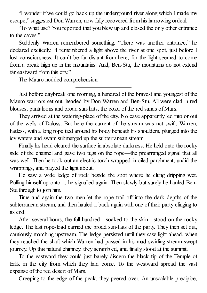"I wonder if we could go back up the underground river along which I made my escape," suggested Don Warren, now fully recovered from his harrowing ordeal.

"To what use? You reported that you blew up and closed the only other entrance to the caves."

Suddenly Warren remembered something. "There was another entrance," he declared excitedly. "I remembered a light above the river at one spot, just before I lost consciousness. It can't be far distant from here, for the light seemed to come from a break high up in the mountains. And, Ben-Stu, the mountains do not extend far eastward from this city."

The Mauro nodded comprehension.

Just before daybreak one morning, a hundred of the bravest and youngest of the Mauro warriors set out, headed by Don Warren and Ben-Stu. All were clad in red blouses, pantaloons and broad sun-hats, the color of the red sands of Mars.

They arrived at the watering-place of the city. No cave apparently led into or out of the wells of Daloss. But here the current of the stream was not swift. Warren, hatless, with a long rope tied around his body beneath his shoulders, plunged into the icy waters and swam submerged up the subterranean stream.

Finally his head cleared the surface in absolute darkness. He held onto the rocky side of the channel and gave two tugs on the rope—the prearranged signal that all was well. Then he took out an electric torch wrapped in oiled parchment, undid the wrappings, and played the light about.

He saw a wide ledge of rock beside the spot where he clung dripping wet. Pulling himself up onto it, he signalled again. Then slowly but surely he hauled Ben-Stu through to join him.

Time and again the two men let the rope trail off into the dark depths of the subterranean stream, and then hauled it back again with one of their party clinging to its end.

After several hours, the full hundred—soaked to the skin—stood on the rocky ledge. The last rope-load carried the broad sun-hats of the party. They then set out, cautiously marching upstream. The ledge persisted until they saw light ahead, when they reached the shaft which Warren had passed in his mad swirling stream-swept journey. Up this natural chimney, they scrambled, and finally stood at the summit.

To the eastward they could just barely discern the black tip of the Temple of Erlik in the city from which they had come. To the westward spread the vast expanse of the red desert of Mars.

Creeping to the edge of the peak, they peered over. An unscalable precipice,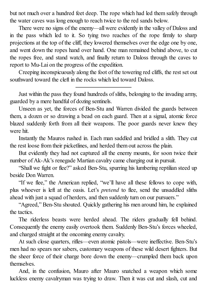but not much over a hundred feet deep. The rope which had led them safely through the water caves was long enough to reach twice to the red sands below.

There were no signs of the enemy—all were evidently in the valley of Daloss and in the pass which led to it. So tying two reaches of the rope firmly to sharp projections at the top of the cliff, they lowered themselves over the edge one by one, and went down the ropes hand over hand. One man remained behind above, to cut the ropes free, and stand watch, and finally return to Daloss through the caves to report to Mu-Lai on the progress of the expedition.

Creeping inconspicuously along the foot of the towering red cliffs, the rest set out southward toward the cleft in the rocks which led toward Daloss.

Just within the pass they found hundreds of sliths, belonging to the invading army, guarded by a mere handful of dozing sentinels.

Unseen as yet, the forces of Ben-Stu and Warren divided the guards between them, a dozen or so drawing a bead on each guard. Then at a signal, atomic force blazed suddenly forth from all their weapons. The poor guards never knew they were hit.

Instantly the Mauros rushed in. Each man saddled and bridled a slith. They cut the rest loose from their picketlines, and herded them out across the plain.

But evidently they had not captured all the enemy mounts, for soon twice their number of Ak-Ak's renegade Martian cavalry came charging out in pursuit.

"Shall we fight or flee?" asked Ben-Stu, spurring his lumbering reptilian steed up beside Don Warren.

"If we flee," the American replied, "we'll have all these fellows to cope with, plus whoever is left at the oasis. Let's *pretend* to flee, send the unsaddled sliths ahead with just a squad of herders, and then suddenly turn on our pursuers."

"Agreed," Ben-Stu shouted. Quickly gathering his men around him, he explained the tactics.

The riderless beasts were herded ahead. The riders gradually fell behind. Consequently the enemy easily overtook them. Suddenly Ben-Stu's forces wheeled, and charged straight at the oncoming enemy cavalry.

At such close quarters, rifles—even atomic pistols—were ineffective. Ben-Stu's men had no spears nor sabers, customary weapons of these wild desert fighters. But the sheer force of their charge bore down the enemy—crumpled them back upon themselves.

And, in the confusion, Mauro after Mauro snatched a weapon which some luckless enemy cavalryman was trying to draw. Then it was cut and slash, cut and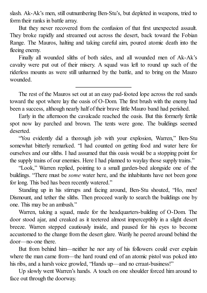slash. Ak-Ak's men, still outnumbering Ben-Stu's, but depleted in weapons, tried to form their ranks in battle array.

But they never recovered from the confusion of that first unexpected assault. They broke rapidly and streamed out across the desert, back toward the Fobian Range. The Mauros, halting and taking careful aim, poured atomic death into the fleeing enemy.

Finally all wounded sliths of both sides, and all wounded men of Ak-Ak's cavalry were put out of their misery. A squad was left to round up such of the riderless mounts as were still unharmed by the battle, and to bring on the Mauro wounded.

The rest of the Mauros set out at an easy pad-footed lope across the red sands toward the spot where lay the oasis of O-Dom. The first brush with the enemy had been a success, although nearly half of their brave little Mauro band had perished.

Early in the afternoon the cavalcade reached the oasis. But this formerly fertile spot now lay parched and brown. The tents were gone. The buildings seemed deserted.

"You evidently did a thorough job with your explosion, Warren," Ben-Stu somewhat bitterly remarked. "I had counted on getting food and water here for ourselves and our sliths. I had assumed that this oasis would be a stopping point for the supply trains of our enemies. Here I had planned to waylay those supply trains."

"Look," Warren replied, pointing to a small garden-bed alongside one of the buildings. "There must be *some* water here, and the inhabitants have not been gone for long. This bed has been recently watered."

Standing up in his stirrups and facing around, Ben-Stu shouted, "Ho, men! Dismount, and tether the sliths. Then proceed warily to search the buildings one by one. This may be an ambush."

Warren, taking a squad, made for the headquarters-building of O-Dom. The door stood ajar, and creaked as it teetered almost imperceptibly in a slight desert breeze. Warren stepped cautiously inside, and paused for his eyes to become accustomed to the change from the desert glare. Warily he peered around behind the door—no-one there.

But from behind him—neither he nor any of his followers could ever explain where the man came from—the hard round end of an atomic pistol was poked into his ribs, and a harsh voice growled, "Hands up—and no crraat-business!"

Up slowly went Warren's hands. A touch on one shoulder forced him around to face out through the doorway.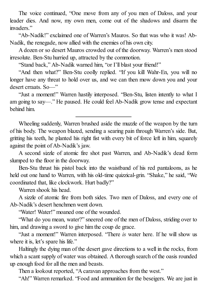The voice continued, "One move from any of you men of Daloss, and your leader dies. And now, my own men, come out of the shadows and disarm the invaders."

"Ab-Nadik!" exclaimed one of Warren's Mauros. So that was who it was! Ab-Nadik, the renegade, now allied with the enemies of his own city.

A dozen or so desert Mauros crowded out of the doorway. Warren's men stood irresolute. Ben-Stu hurried up, attracted by the commotion.

"Stand back," Ab-Nadik warned him, "or I'll blast your friend!"

"And then what?" Ben-Stu coolly replied. "If you kill Wahr-En, you will no longer have any threat to hold over us, and we can then mow down you and your desert crraats. So—"

"Just a moment!" Warren hastily interposed. "Ben-Stu, listen intently to what I am going to say—." He paused. He could feel Ab-Nadik grow tense and expectant behind him.

Wheeling suddenly, Warren brushed aside the muzzle of the weapon by the turn of his body. The weapon blazed, sending a searing pain through Warren's side. But, gritting his teeth, he planted his right fist with every bit of force left in him, squarely against the point of Ab-Nadik's jaw.

A second sizzle of atomic fire shot past Warren, and Ab-Nadik's dead form slumped to the floor in the doorway.

Ben-Stu thrust his pistol back into the waistband of his red pantaloons, as he held out one hand to Warren, with his old-time quizzical-grin. "Shake," he said, "We coordinated that, like clockwork. Hurt badly?"

Warren shook his head.

A sizzle of atomic fire from both sides. Two men of Daloss, and every one of Ab-Nadik's desert henchmen went down.

"Water! Water!" moaned one of the wounded.

"What do you mean, water?" sneered one of the men of Daloss, striding over to him, and drawing a sword to give him the coup de grace.

"Just a moment!" Warren interposed. "There *is* water here. If he will show us where it is, let's spare his life."

Haltingly the dying man of the desert gave directions to a well in the rocks, from which a scant supply of water was obtained. A thorough search of the oasis rounded up enough food for all the men and beasts.

Then a lookout reported, "A caravan approaches from the west."

"Ah!" Warren remarked. "Food and ammunition for the beseigers. We are just in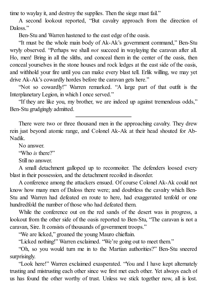time to waylay it, and destroy the supplies. Then the siege must fail."

A second lookout reported, "But cavalry approach from the direction of Daloss<sup>"</sup>

Ben-Stu and Warren hastened to the east edge of the oasis.

"It must be the whole main body of Ak-Ak's government command," Ben-Stu wryly observed. "Perhaps we shall *not* succeed in waylaying the caravan after all. Ho, men! Bring in all the sliths, and conceal them in the center of the oasis, then conceal yourselves in the stone houses and rock ledges at the east side of the oasis, and withhold your fire until you can make every blast tell. Erlik willing, we may yet drive Ak-Ak's cowardly hordes before the caravan gets here."

"Not so cowardly!" Warren remarked. "A large part of that outfit is the Interplanetary Legion, in which I once served."

"If they are like you, my brother, we are indeed up against tremendous odds," Ben-Stu grudgingly admitted.

There were two or three thousand men in the approaching cavalry. They drew rein just beyond atomic range, and Colonel Ak-Ak at their head shouted for Ab-Nadik.

No answer.

"Who *is* there?"

Still no answer.

A small detachment galloped up to reconnoiter. The defenders loosed every blast in their possession, and the detachment recoiled in disorder.

A conference among the attackers ensued. Of course Colonel Ak-Ak could not know how many men of Daloss there were; and doubtless the cavalry which Ben-Stu and Warren had defeated en route to here, had exaggerated tenfold or one hundredfold the number of those who had defeated them.

While the conference out on the red sands of the desert was in progress, a lookout from the other side of the oasis reported to Ben-Stu, "The caravan is not a caravan, Sire. It consists of thousands of government troops."

"We are licked," groaned the young Mauro chieftain.

"Licked nothing!" Warren exclaimed. "We're going out to meet them."

"Oh, so you would turn me in to the Martian authorities?" Ben-Stu sneered surprisingly.

"Look here!" Warren exclaimed exasperated. "You and I have kept alternately trusting and mistrusting each other since we first met each other. Yet always each of us has found the other worthy of trust. Unless we stick together now, all is lost.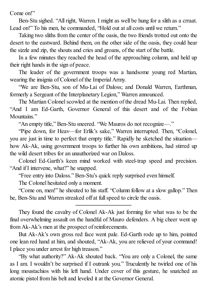Come on!"

Ben-Stu sighed. "All right, Warren. I might as well be hung for a slith as a crraat. Lead on!" To his men, he commanded, "Hold out at all costs until we return."

Taking two sliths from the center of the oasis, the two friends trotted out onto the desert to the eastward. Behind them, on the other side of the oasis, they could hear the sizzle and zip, the shouts and cries and groans, of the start of the battle.

In a few minutes they reached the head of the approaching column, and held up their right hands in the sign of peace.

The leader of the government troops was a handsome young red Martian, wearing the insignia of Colonel of the Imperial Army.

"We are Ben-Stu, son of Mu-Lai of Daloss; and Donald Warren, Earthman, formerly a Sergeant of the Interplanetary Legion," Warren announced.

The Martian Colonel scowled at the mention of the dread Mu-Lai. Then replied, "And I am Ed-Garth, Governor General of this desert and of the Fobian Mountains<sup>"</sup>

"An empty title," Ben-Stu sneered. "We Mauros do not recognize—."

"Pipe down, for Heav—for Erlik's sake," Warren interrupted. Then, "Colonel, you are just in time to perfect that empty title." Rapidly he sketched the situation how Ak-Ak, using government troops to further his own ambitions, had stirred up the wild desert tribes for an unauthorized war on Daloss.

Colonel Ed-Garth's keen mind worked with steel-trap speed and precision. "And if I intervene, what?" he snapped.

"Free entry into Daloss." Ben-Stu's quick reply surprised even himself.

The Colonel hesitated only a moment.

"Come on, men!" he shouted to his staff. "Column follow at a slow gallop." Then he, Ben-Stu and Warren streaked off at full speed to circle the oasis.

They found the cavalry of Colonel Ak-Ak just forming for what was to be the final overwhelming assault on the handful of Mauro defenders. A big cheer went up from Ak-Ak's men at the prospect of reinforcements.

But Ak-Ak's own gross red face went pale. Ed-Garth rode up to him, pointed one lean red hand at him, and shouted, "Ak-Ak, you are relieved of your command! I place you under arrest for high treason."

"By what authority?" Ak-Ak shouted back. "You are only a Colonel, the same as I am. I wouldn't be surprised if I outrank you." Truculently he twirled one of his long moustachios with his left hand. Under cover of this gesture, he snatched an atomic pistol from his belt and leveled it at the Governor General.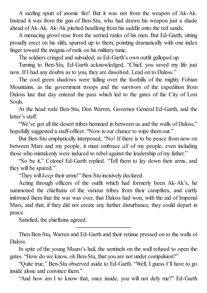A sizzling spurt of atomic fire! But it was not from the weapon of Ak-Ak. Instead it was from the gun of Ben-Stu, who had drawn his weapon just a shade ahead of Ak-Ak. Ak-Ak pitched headlong from his saddle onto the red sands.

A menacing growl rose from the serried ranks of his men. But Ed-Garth, sitting proudly erect on his slith, spurred up to them, pointing dramatically with one index finger toward the insignia of rank on his military tunic.

The soldiers cringed and subsided, as Ed-Garth's own outfit galloped up.

Turning to Ben-Stu, Ed-Garth acknowledged, "Chief, you saved my life just now. If I had any doubts as to you, they are dissolved. Lead on to Daloss."

The cool green shadows were falling over the foothills of the mighty Fobian Mountains, as the government troops and the survivors of the expedition from Daloss late that day entered the pass which led to the gates of the City of Lost Souls.

At the head rode Ben-Stu, Don Warren, Governor General Ed-Garth, and the latter's staff.

"We've got all the desert tribes hemmed in between us and the walls of Daloss," hopefully suggested a staff-officer. "Now is our chance to wipe them out."

But Ben-Stu emphatically interposed, "No! If there is to be peace from now on between Mars and my people, it must embrace *all* of my people, even including those who mistakenly were induced to rebel against the leadership of my father."

"So be it," Colonel Ed-Garth replied. "Tell them to lay down their arms, and they will be spared."

"They will *keep* their arms!" Ben-Stu incisively declared.

Acting through officers of the outfit which had formerly been Ak-Ak's, he summoned the chieftains of the various tribes from their campfires, and curtly informed them that the war was over, that Daloss had won, with the aid of Imperial Mars, and that, if they did not create any further disturbance, they could depart in peace.

Satisfied, the chieftains agreed.

Then Ben-Stu, Warren and Ed-Garth and their retinue pressed on to the walls of Daloss.

In spite of the young Mauro's hail, the sentinels on the wall refused to open the gates. "How do we know, oh Ben-Stu, that you are not under compulsion?"

"Quite true," Ben-Stu observed aside to Ed-Garth. "Well, I guess I'll have to go inside alone and convince them."

"And how am I to know that, once inside, you will not defy me?" Ed-Garth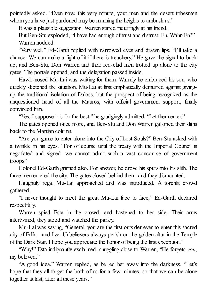pointedly asked. "Even now, this very minute, your men and the desert tribesmen whom you have just pardoned may be manning the heights to ambush us."

It was a plausible suggestion. Warren stared inquiringly at his friend.

But Ben-Stu exploded, "I have had enough of trust and distrust. Eh, Wahr-En?" Warren nodded.

"Very well," Ed-Garth replied with narrowed eyes and drawn lips. "I'll take a chance. We can make a fight of it if there is treachery." He gave the signal to back up; and Ben-Stu, Don Warren and their red-clad men trotted up alone to the city gates. The portals opened, and the delegation passed inside.

Hawk-nosed Mu-Lai was waiting for them. Warmly he embraced his son, who quickly sketched the situation. Mu-Lai at first emphatically demurred against givingup the traditional isolation of Daloss, but the prospect of being recognized as the unquestioned head of all the Mauros, with official government support, finally convinced him.

"Yes, I suppose it is for the best," he grudgingly admitted. "Let them enter."

The gates opened once more, and Ben-Stu and Don Warren galloped their sliths back to the Martian column.

"Are you game to enter alone into the City of Lost Souls?" Ben-Stu asked with a twinkle in his eyes. "For of course until the treaty with the Imperial Council is negotiated and signed, we cannot admit such a vast concourse of government troops."

Colonel Ed-Garth grinned also. For answer, he drove his spurs into his slith. The three men entered the city. The gates closed behind them, and they dismounted.

Haughtily regal Mu-Lai approached and was introduced. A torchlit crowd gathered.

"I never thought to meet the great Mu-Lai face to face," Ed-Garth declared respectfully.

Warren spied Esta in the crowd, and hastened to her side. Their arms intertwined, they stood and watched the parley.

Mu-Lai was saying, "General, you are the first outsider ever to enter this sacred city of Erlik—and live. Unbelievers always perish on the golden altar in the Temple of the Dark Star. I hope you appreciate the honor of being the first exception."

"Why!" Esta indignantly exclaimed, snuggling close to Warren, "He forgets *you*, my beloved."

"A good idea," Warren replied, as he led her away into the darkness. "Let's hope that they all forget the both of us for a few minutes, so that we can be alone together at last, after all these years."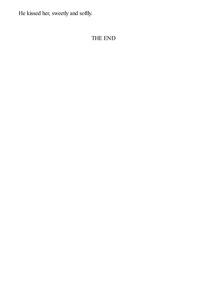He kissed her, sweetly and softly.

#### THE END